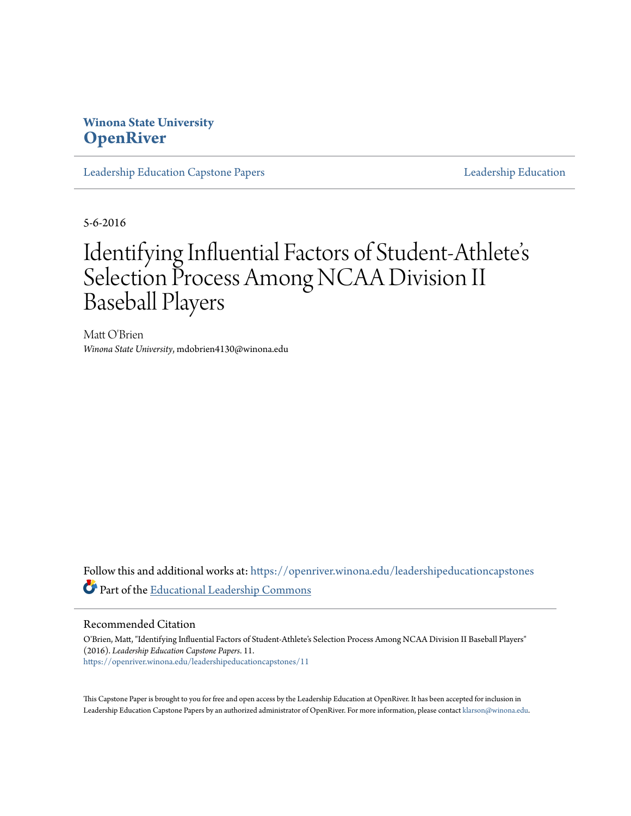# **Winona State University [OpenRiver](https://openriver.winona.edu?utm_source=openriver.winona.edu%2Fleadershipeducationcapstones%2F11&utm_medium=PDF&utm_campaign=PDFCoverPages)**

[Leadership Education Capstone Papers](https://openriver.winona.edu/leadershipeducationcapstones?utm_source=openriver.winona.edu%2Fleadershipeducationcapstones%2F11&utm_medium=PDF&utm_campaign=PDFCoverPages) [Leadership Education](https://openriver.winona.edu/leadershipeducation?utm_source=openriver.winona.edu%2Fleadershipeducationcapstones%2F11&utm_medium=PDF&utm_campaign=PDFCoverPages)

5-6-2016

# Identifying Influential Factors of Student-Athlete s י<br>'י Selection Process Among NCAA Division II Baseball Players

Matt O'Brien *Winona State University*, mdobrien4130@winona.edu

Follow this and additional works at: [https://openriver.winona.edu/leadershipeducationcapstones](https://openriver.winona.edu/leadershipeducationcapstones?utm_source=openriver.winona.edu%2Fleadershipeducationcapstones%2F11&utm_medium=PDF&utm_campaign=PDFCoverPages) Part of the [Educational Leadership Commons](http://network.bepress.com/hgg/discipline/1230?utm_source=openriver.winona.edu%2Fleadershipeducationcapstones%2F11&utm_medium=PDF&utm_campaign=PDFCoverPages)

## Recommended Citation

O'Brien, Matt, "Identifying Influential Factors of Student-Athlete's Selection Process Among NCAA Division II Baseball Players" (2016). *Leadership Education Capstone Papers*. 11. [https://openriver.winona.edu/leadershipeducationcapstones/11](https://openriver.winona.edu/leadershipeducationcapstones/11?utm_source=openriver.winona.edu%2Fleadershipeducationcapstones%2F11&utm_medium=PDF&utm_campaign=PDFCoverPages)

This Capstone Paper is brought to you for free and open access by the Leadership Education at OpenRiver. It has been accepted for inclusion in Leadership Education Capstone Papers by an authorized administrator of OpenRiver. For more information, please contact [klarson@winona.edu.](mailto:klarson@winona.edu)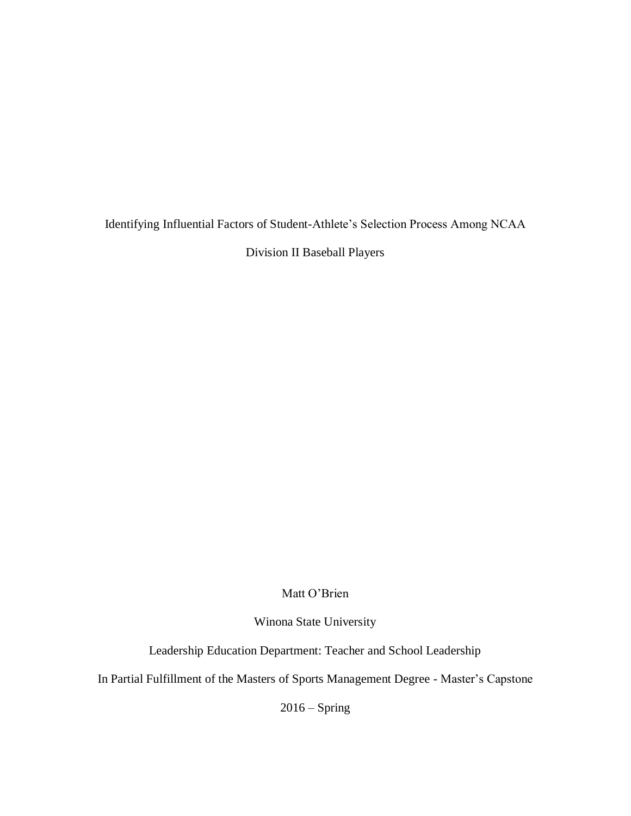Identifying Influential Factors of Student-Athlete's Selection Process Among NCAA

Division II Baseball Players

Matt O'Brien

Winona State University

Leadership Education Department: Teacher and School Leadership

In Partial Fulfillment of the Masters of Sports Management Degree - Master's Capstone

 $2016 -$ Spring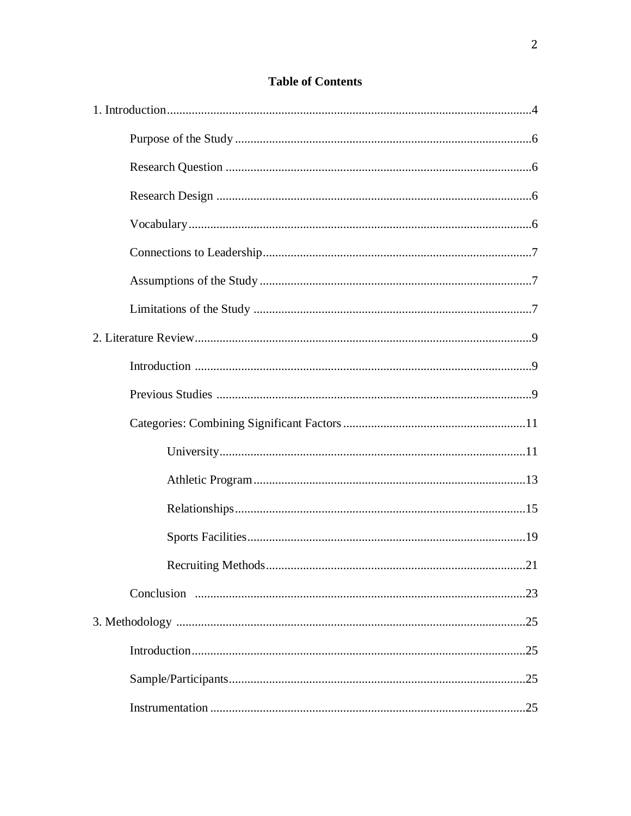| .21 |
|-----|
|     |
|     |
|     |
|     |
|     |

# **Table of Contents**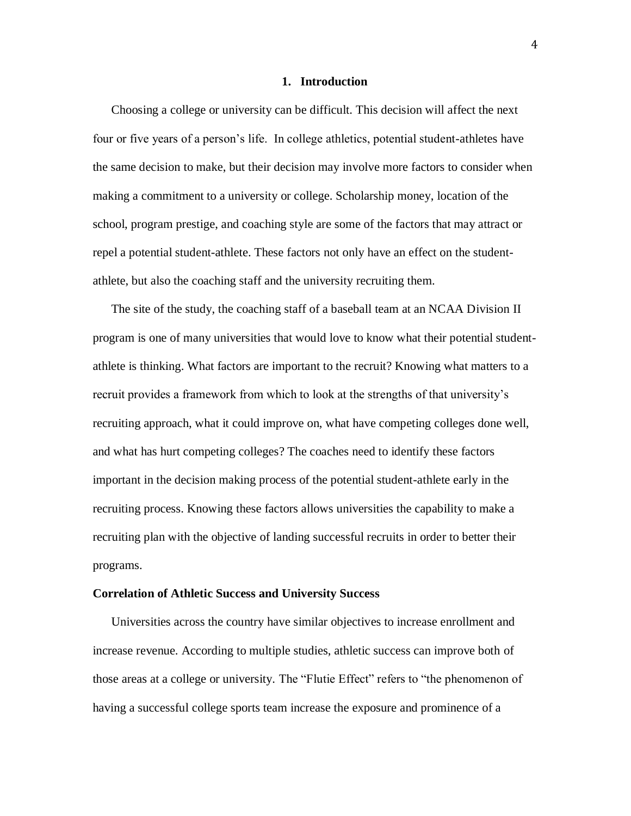#### **1. Introduction**

Choosing a college or university can be difficult. This decision will affect the next four or five years of a person's life. In college athletics, potential student-athletes have the same decision to make, but their decision may involve more factors to consider when making a commitment to a university or college. Scholarship money, location of the school, program prestige, and coaching style are some of the factors that may attract or repel a potential student-athlete. These factors not only have an effect on the studentathlete, but also the coaching staff and the university recruiting them.

The site of the study, the coaching staff of a baseball team at an NCAA Division II program is one of many universities that would love to know what their potential studentathlete is thinking. What factors are important to the recruit? Knowing what matters to a recruit provides a framework from which to look at the strengths of that university's recruiting approach, what it could improve on, what have competing colleges done well, and what has hurt competing colleges? The coaches need to identify these factors important in the decision making process of the potential student-athlete early in the recruiting process. Knowing these factors allows universities the capability to make a recruiting plan with the objective of landing successful recruits in order to better their programs.

#### **Correlation of Athletic Success and University Success**

Universities across the country have similar objectives to increase enrollment and increase revenue. According to multiple studies, athletic success can improve both of those areas at a college or university. The "Flutie Effect" refers to "the phenomenon of having a successful college sports team increase the exposure and prominence of a

4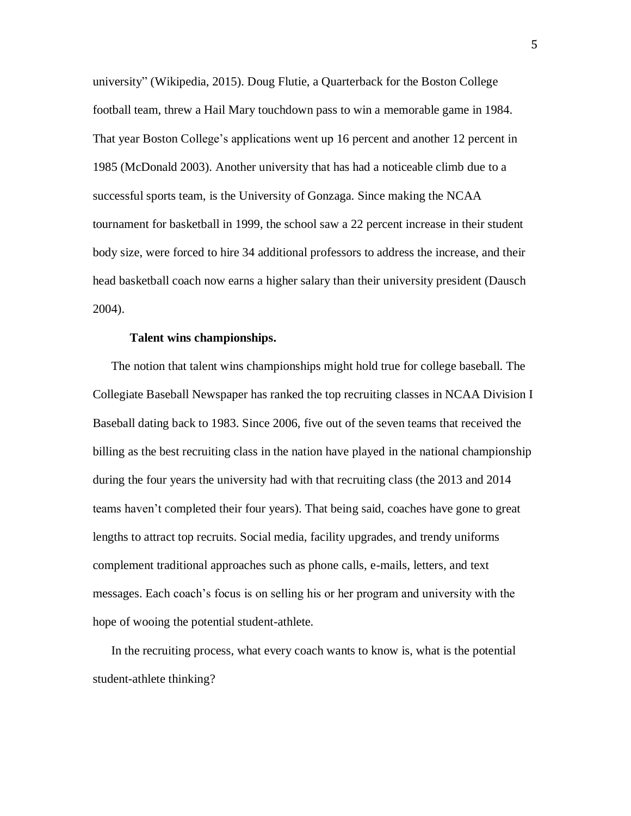[university"](https://en.wikipedia.org/wiki/University) (Wikipedia, 2015). Doug Flutie, a Quarterback for the Boston College football team, threw a Hail Mary touchdown pass to win a memorable game in 1984. That year Boston College's applications went up 16 percent and another 12 percent in 1985 (McDonald 2003). Another university that has had a noticeable climb due to a successful sports team, is the University of Gonzaga. Since making the NCAA tournament for basketball in 1999, the school saw a 22 percent increase in their student body size, were forced to hire 34 additional professors to address the increase, and their head basketball coach now earns a higher salary than their university president (Dausch 2004).

#### **Talent wins championships.**

The notion that talent wins championships might hold true for college baseball. The Collegiate Baseball Newspaper has ranked the top recruiting classes in NCAA Division I Baseball dating back to 1983. Since 2006, five out of the seven teams that received the billing as the best recruiting class in the nation have played in the national championship during the four years the university had with that recruiting class (the 2013 and 2014 teams haven't completed their four years). That being said, coaches have gone to great lengths to attract top recruits. Social media, facility upgrades, and trendy uniforms complement traditional approaches such as phone calls, e-mails, letters, and text messages. Each coach's focus is on selling his or her program and university with the hope of wooing the potential student-athlete.

In the recruiting process, what every coach wants to know is, what is the potential student-athlete thinking?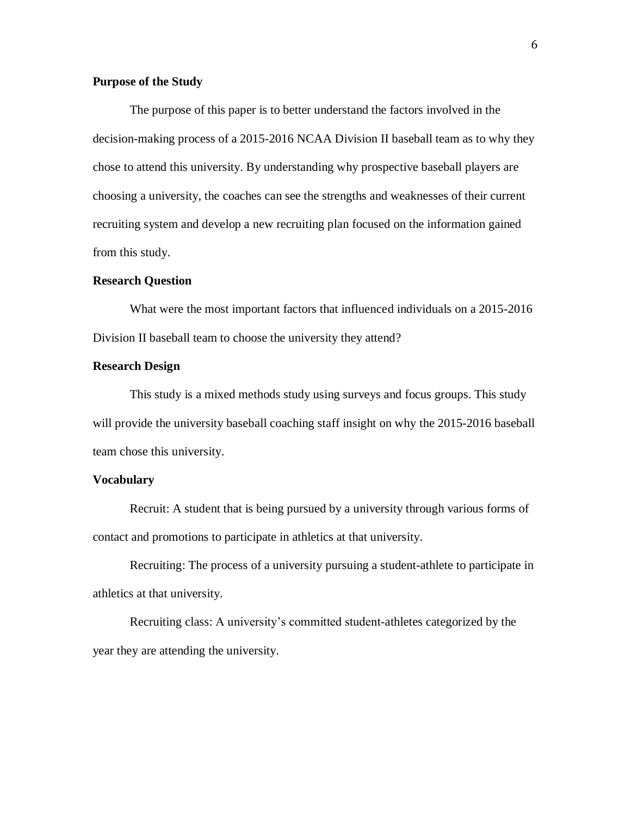## **Purpose of the Study**

The purpose of this paper is to better understand the factors involved in the decision-making process of a 2015-2016 NCAA Division II baseball team as to why they chose to attend this university. By understanding why prospective baseball players are choosing a university, the coaches can see the strengths and weaknesses of their current recruiting system and develop a new recruiting plan focused on the information gained from this study.

#### **Research Question**

What were the most important factors that influenced individuals on a 2015-2016 Division II baseball team to choose the university they attend?

## **Research Design**

This study is a mixed methods study using surveys and focus groups. This study will provide the university baseball coaching staff insight on why the 2015-2016 baseball team chose this university.

## **Vocabulary**

Recruit: A student that is being pursued by a university through various forms of contact and promotions to participate in athletics at that university.

Recruiting: The process of a university pursuing a student-athlete to participate in athletics at that university.

Recruiting class: A university's committed student-athletes categorized by the year they are attending the university.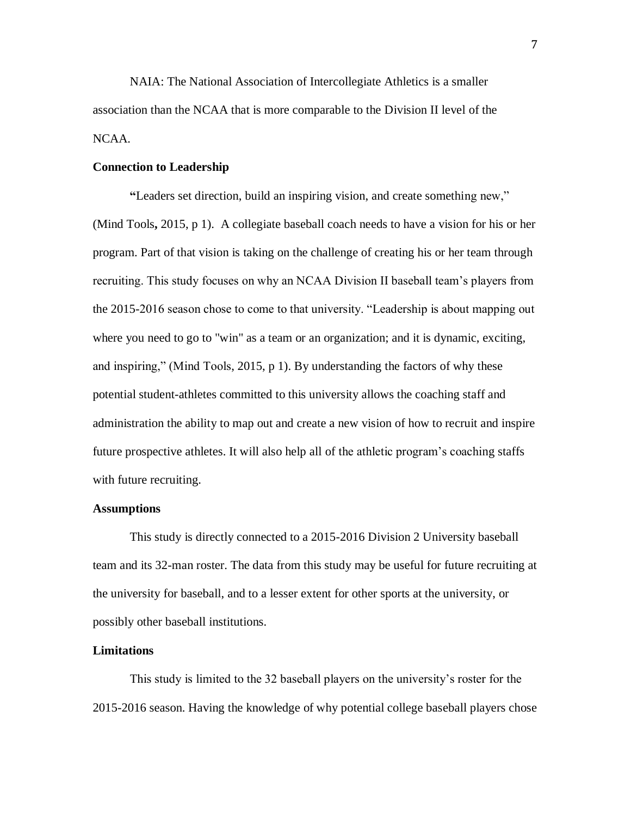NAIA: The National Association of Intercollegiate Athletics is a smaller association than the NCAA that is more comparable to the Division II level of the NCAA.

## **Connection to Leadership**

**"**Leaders set direction, build an inspiring vision, and create something new," (Mind Tools**,** 2015, p 1). A collegiate baseball coach needs to have a vision for his or her program. Part of that vision is taking on the challenge of creating his or her team through recruiting. This study focuses on why an NCAA Division II baseball team's players from the 2015-2016 season chose to come to that university. "Leadership is about mapping out where you need to go to "win" as a team or an organization; and it is dynamic, exciting, and inspiring," (Mind Tools, 2015, p 1). By understanding the factors of why these potential student-athletes committed to this university allows the coaching staff and administration the ability to map out and create a new vision of how to recruit and inspire future prospective athletes. It will also help all of the athletic program's coaching staffs with future recruiting.

#### **Assumptions**

This study is directly connected to a 2015-2016 Division 2 University baseball team and its 32-man roster. The data from this study may be useful for future recruiting at the university for baseball, and to a lesser extent for other sports at the university, or possibly other baseball institutions.

#### **Limitations**

This study is limited to the 32 baseball players on the university's roster for the 2015-2016 season. Having the knowledge of why potential college baseball players chose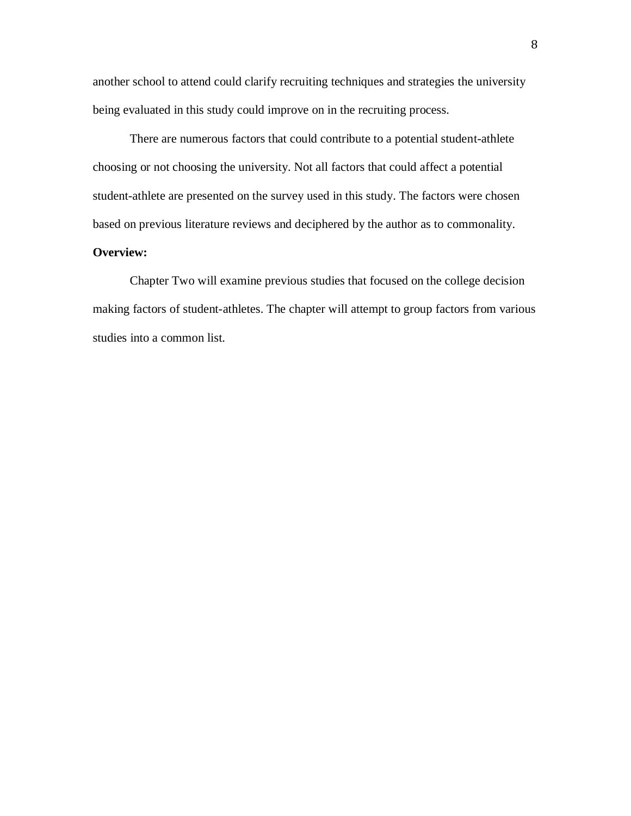another school to attend could clarify recruiting techniques and strategies the university being evaluated in this study could improve on in the recruiting process.

There are numerous factors that could contribute to a potential student-athlete choosing or not choosing the university. Not all factors that could affect a potential student-athlete are presented on the survey used in this study. The factors were chosen based on previous literature reviews and deciphered by the author as to commonality.

## **Overview:**

Chapter Two will examine previous studies that focused on the college decision making factors of student-athletes. The chapter will attempt to group factors from various studies into a common list.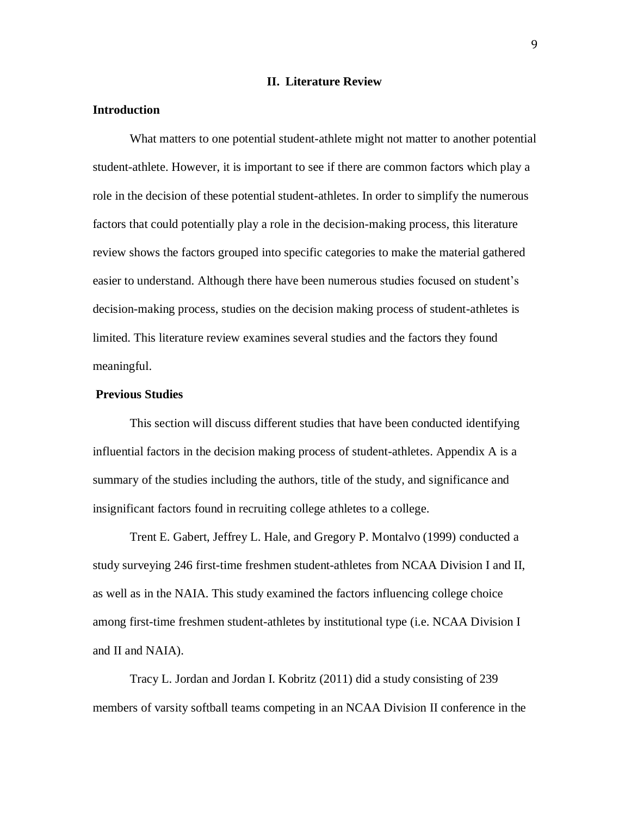### **II. Literature Review**

## **Introduction**

What matters to one potential student-athlete might not matter to another potential student-athlete. However, it is important to see if there are common factors which play a role in the decision of these potential student-athletes. In order to simplify the numerous factors that could potentially play a role in the decision-making process, this literature review shows the factors grouped into specific categories to make the material gathered easier to understand. Although there have been numerous studies focused on student's decision-making process, studies on the decision making process of student-athletes is limited. This literature review examines several studies and the factors they found meaningful.

## **Previous Studies**

This section will discuss different studies that have been conducted identifying influential factors in the decision making process of student-athletes. Appendix A is a summary of the studies including the authors, title of the study, and significance and insignificant factors found in recruiting college athletes to a college.

Trent E. Gabert, Jeffrey L. Hale, and Gregory P. Montalvo (1999) conducted a study surveying 246 first-time freshmen student-athletes from NCAA Division I and II, as well as in the NAIA. This study examined the factors influencing college choice among first-time freshmen student-athletes by institutional type (i.e. NCAA Division I and II and NAIA).

Tracy L. Jordan and Jordan I. Kobritz (2011) did a study consisting of 239 members of varsity softball teams competing in an NCAA Division II conference in the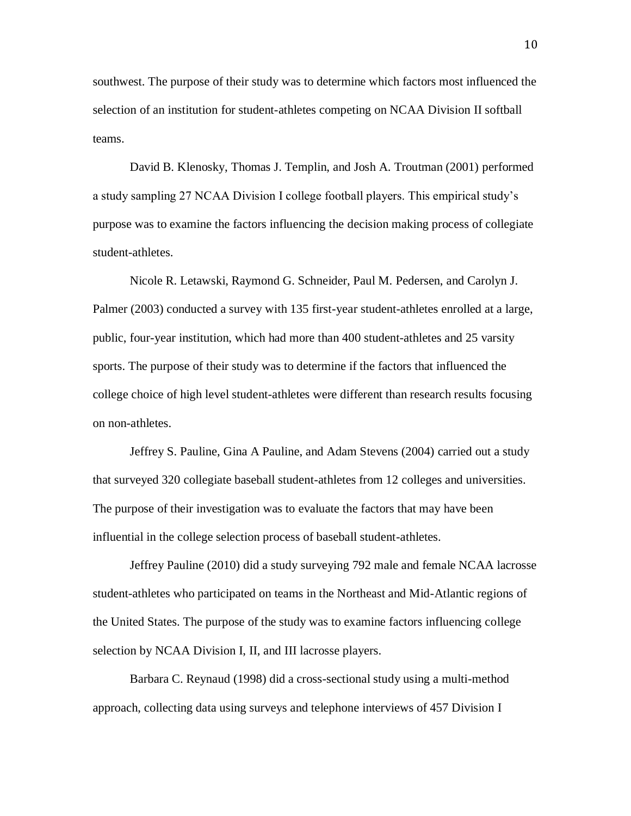southwest. The purpose of their study was to determine which factors most influenced the selection of an institution for student-athletes competing on NCAA Division II softball teams.

David B. Klenosky, Thomas J. Templin, and Josh A. Troutman (2001) performed a study sampling 27 NCAA Division I college football players. This empirical study's purpose was to examine the factors influencing the decision making process of collegiate student-athletes.

Nicole R. Letawski, Raymond G. Schneider, Paul M. Pedersen, and Carolyn J. Palmer (2003) conducted a survey with 135 first-year student-athletes enrolled at a large, public, four-year institution, which had more than 400 student-athletes and 25 varsity sports. The purpose of their study was to determine if the factors that influenced the college choice of high level student-athletes were different than research results focusing on non-athletes.

Jeffrey S. Pauline, Gina A Pauline, and Adam Stevens (2004) carried out a study that surveyed 320 collegiate baseball student-athletes from 12 colleges and universities. The purpose of their investigation was to evaluate the factors that may have been influential in the college selection process of baseball student-athletes.

Jeffrey Pauline (2010) did a study surveying 792 male and female NCAA lacrosse student-athletes who participated on teams in the Northeast and Mid-Atlantic regions of the United States. The purpose of the study was to examine factors influencing college selection by NCAA Division I, II, and III lacrosse players.

Barbara C. Reynaud (1998) did a cross-sectional study using a multi-method approach, collecting data using surveys and telephone interviews of 457 Division I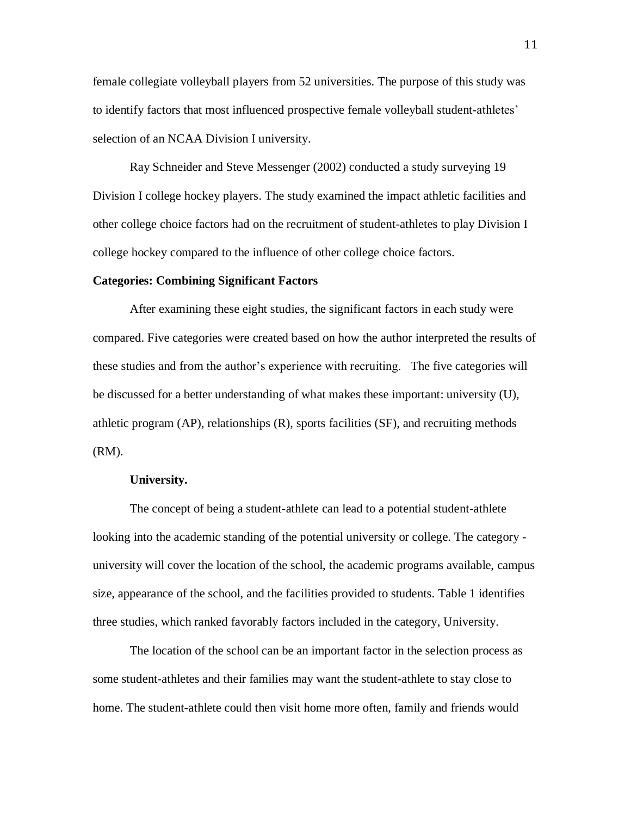female collegiate volleyball players from 52 universities. The purpose of this study was to identify factors that most influenced prospective female volleyball student-athletes' selection of an NCAA Division I university.

Ray Schneider and Steve Messenger (2002) conducted a study surveying 19 Division I college hockey players. The study examined the impact athletic facilities and other college choice factors had on the recruitment of student-athletes to play Division I college hockey compared to the influence of other college choice factors.

#### **Categories: Combining Significant Factors**

After examining these eight studies, the significant factors in each study were compared. Five categories were created based on how the author interpreted the results of these studies and from the author's experience with recruiting. The five categories will be discussed for a better understanding of what makes these important: university (U), athletic program (AP), relationships (R), sports facilities (SF), and recruiting methods (RM).

#### **University.**

The concept of being a student-athlete can lead to a potential student-athlete looking into the academic standing of the potential university or college. The category university will cover the location of the school, the academic programs available, campus size, appearance of the school, and the facilities provided to students. Table 1 identifies three studies, which ranked favorably factors included in the category, University.

The location of the school can be an important factor in the selection process as some student-athletes and their families may want the student-athlete to stay close to home. The student-athlete could then visit home more often, family and friends would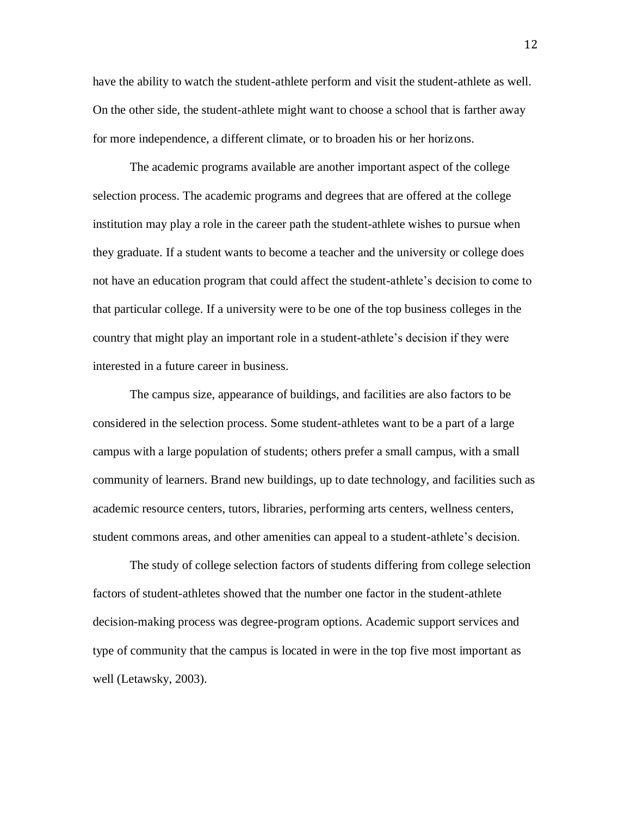have the ability to watch the student-athlete perform and visit the student-athlete as well. On the other side, the student-athlete might want to choose a school that is farther away for more independence, a different climate, or to broaden his or her horizons.

The academic programs available are another important aspect of the college selection process. The academic programs and degrees that are offered at the college institution may play a role in the career path the student-athlete wishes to pursue when they graduate. If a student wants to become a teacher and the university or college does not have an education program that could affect the student-athlete's decision to come to that particular college. If a university were to be one of the top business colleges in the country that might play an important role in a student-athlete's decision if they were interested in a future career in business.

The campus size, appearance of buildings, and facilities are also factors to be considered in the selection process. Some student-athletes want to be a part of a large campus with a large population of students; others prefer a small campus, with a small community of learners. Brand new buildings, up to date technology, and facilities such as academic resource centers, tutors, libraries, performing arts centers, wellness centers, student commons areas, and other amenities can appeal to a student-athlete's decision.

The study of college selection factors of students differing from college selection factors of student-athletes showed that the number one factor in the student-athlete decision-making process was degree-program options. Academic support services and type of community that the campus is located in were in the top five most important as well (Letawsky, 2003).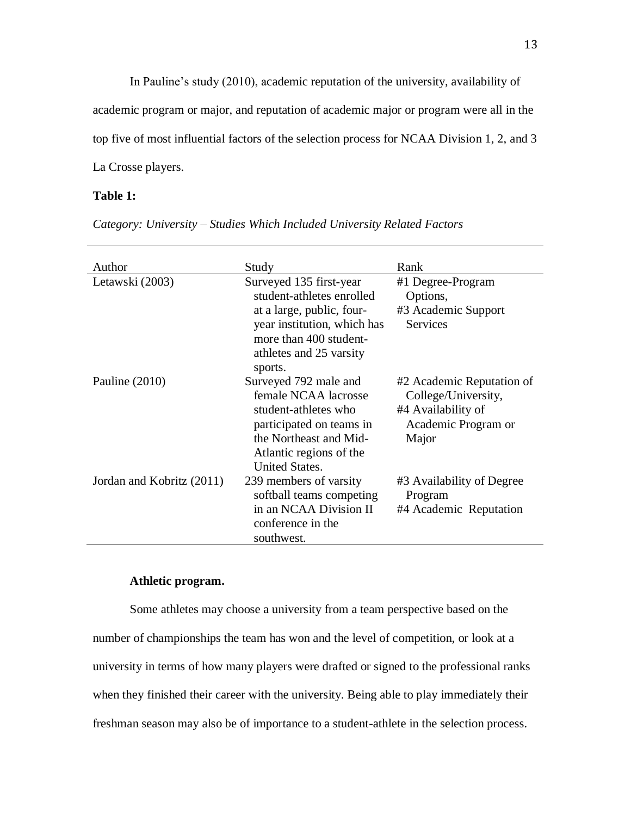In Pauline's study (2010), academic reputation of the university, availability of academic program or major, and reputation of academic major or program were all in the top five of most influential factors of the selection process for NCAA Division 1, 2, and 3 La Crosse players.

## **Table 1:**

| Author                    | Study                                                                                                                                                                            | Rank                                                                                                   |
|---------------------------|----------------------------------------------------------------------------------------------------------------------------------------------------------------------------------|--------------------------------------------------------------------------------------------------------|
| Letawski (2003)           | Surveyed 135 first-year<br>student-athletes enrolled<br>at a large, public, four-<br>year institution, which has<br>more than 400 student-<br>athletes and 25 varsity<br>sports. | #1 Degree-Program<br>Options,<br>#3 Academic Support<br><b>Services</b>                                |
| Pauline $(2010)$          | Surveyed 792 male and<br>female NCAA lacrosse<br>student-athletes who<br>participated on teams in<br>the Northeast and Mid-<br>Atlantic regions of the<br><b>United States.</b>  | #2 Academic Reputation of<br>College/University,<br>#4 Availability of<br>Academic Program or<br>Major |
| Jordan and Kobritz (2011) | 239 members of varsity<br>softball teams competing<br>in an NCAA Division II<br>conference in the<br>southwest.                                                                  | #3 Availability of Degree<br>Program<br>#4 Academic Reputation                                         |

## **Athletic program.**

Some athletes may choose a university from a team perspective based on the number of championships the team has won and the level of competition, or look at a university in terms of how many players were drafted or signed to the professional ranks when they finished their career with the university. Being able to play immediately their freshman season may also be of importance to a student-athlete in the selection process.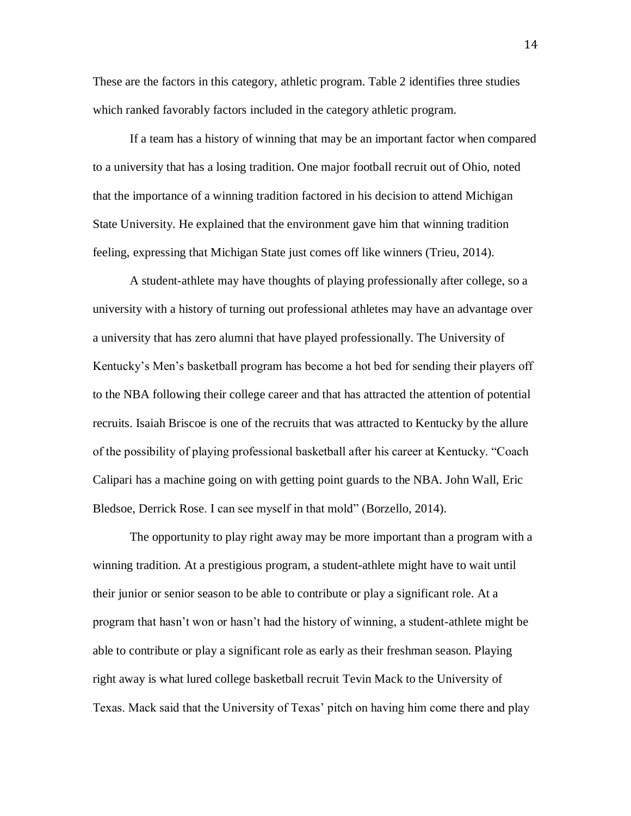These are the factors in this category, athletic program. Table 2 identifies three studies which ranked favorably factors included in the category athletic program.

If a team has a history of winning that may be an important factor when compared to a university that has a losing tradition. One major football recruit out of Ohio, noted that the importance of a winning tradition factored in his decision to attend Michigan State University. He explained that the environment gave him that winning tradition feeling, expressing that Michigan State just comes off like winners (Trieu, 2014).

A student-athlete may have thoughts of playing professionally after college, so a university with a history of turning out professional athletes may have an advantage over a university that has zero alumni that have played professionally. The University of Kentucky's Men's basketball program has become a hot bed for sending their players off to the NBA following their college career and that has attracted the attention of potential recruits. Isaiah Briscoe is one of the recruits that was attracted to Kentucky by the allure of the possibility of playing professional basketball after his career at Kentucky. "Coach Calipari has a machine going on with getting point guards to the NBA. [John Wall,](http://espn.go.com/nba/player/_/id/4237/john-wall) [Eric](http://espn.go.com/nba/player/_/id/4238/eric-bledsoe)  [Bledsoe,](http://espn.go.com/nba/player/_/id/4238/eric-bledsoe) [Derrick Rose.](http://espn.go.com/nba/player/_/id/3456/derrick-rose) I can see myself in that mold" (Borzello, 2014).

The opportunity to play right away may be more important than a program with a winning tradition. At a prestigious program, a student-athlete might have to wait until their junior or senior season to be able to contribute or play a significant role. At a program that hasn't won or hasn't had the history of winning, a student-athlete might be able to contribute or play a significant role as early as their freshman season. Playing right away is what lured college basketball recruit Tevin Mack to the University of Texas. Mack said that the University of Texas' pitch on having him come there and play

14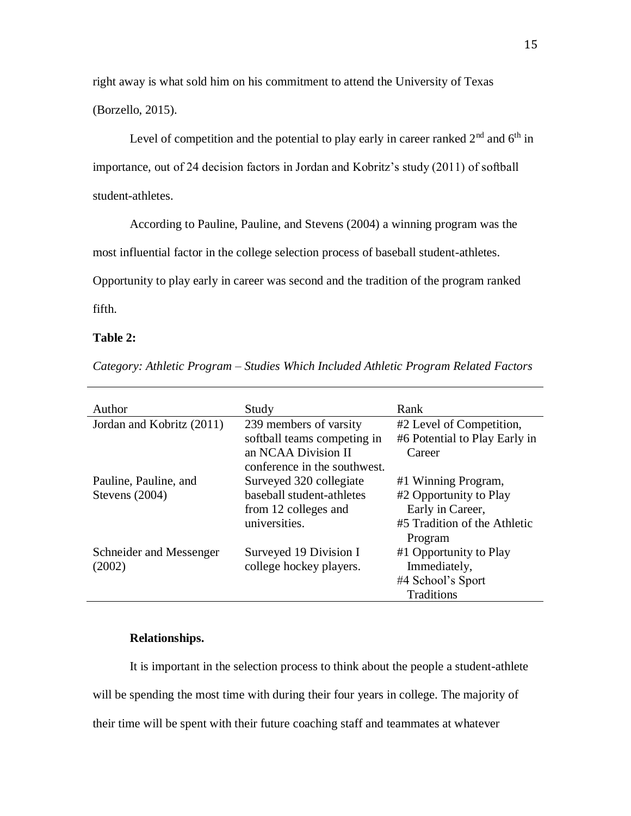right away is what sold him on his commitment to attend the University of Texas (Borzello, 2015).

Level of competition and the potential to play early in career ranked  $2<sup>nd</sup>$  and  $6<sup>th</sup>$  in importance, out of 24 decision factors in Jordan and Kobritz's study (2011) of softball student-athletes.

According to Pauline, Pauline, and Stevens (2004) a winning program was the

most influential factor in the college selection process of baseball student-athletes.

Opportunity to play early in career was second and the tradition of the program ranked

fifth.

## **Table 2:**

*Category: Athletic Program – Studies Which Included Athletic Program Related Factors*

| Author                    | Study                        | Rank                          |
|---------------------------|------------------------------|-------------------------------|
| Jordan and Kobritz (2011) | 239 members of varsity       | #2 Level of Competition,      |
|                           | softball teams competing in  | #6 Potential to Play Early in |
|                           | an NCAA Division II          | Career                        |
|                           | conference in the southwest. |                               |
| Pauline, Pauline, and     | Surveyed 320 collegiate      | #1 Winning Program,           |
| Stevens $(2004)$          | baseball student-athletes    | #2 Opportunity to Play        |
|                           | from 12 colleges and         | Early in Career,              |
|                           | universities.                | #5 Tradition of the Athletic  |
|                           |                              | Program                       |
| Schneider and Messenger   | Surveyed 19 Division I       | #1 Opportunity to Play        |
| (2002)                    | college hockey players.      | Immediately,                  |
|                           |                              | #4 School's Sport             |
|                           |                              | Traditions                    |

## **Relationships.**

It is important in the selection process to think about the people a student-athlete will be spending the most time with during their four years in college. The majority of their time will be spent with their future coaching staff and teammates at whatever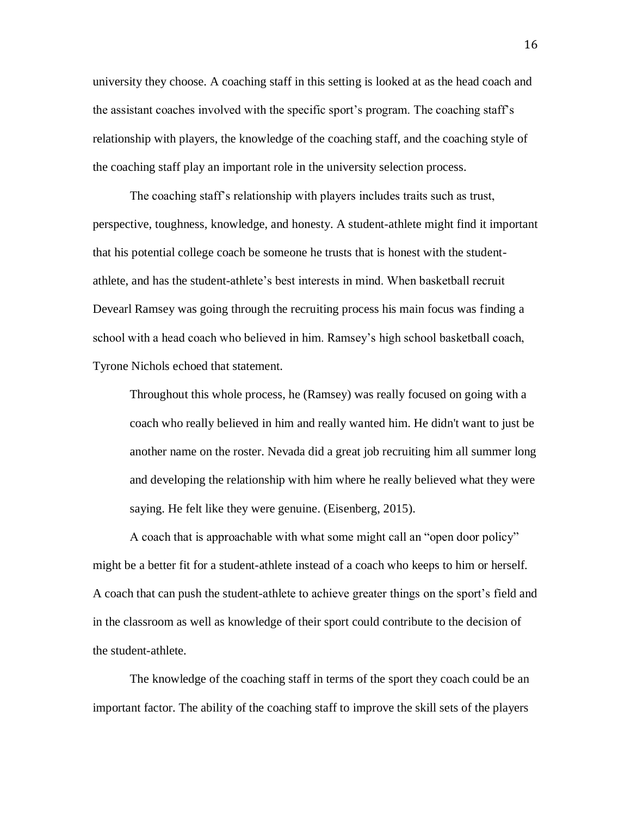university they choose. A coaching staff in this setting is looked at as the head coach and the assistant coaches involved with the specific sport's program. The coaching staff's relationship with players, the knowledge of the coaching staff, and the coaching style of the coaching staff play an important role in the university selection process.

The coaching staff's relationship with players includes traits such as trust, perspective, toughness, knowledge, and honesty. A student-athlete might find it important that his potential college coach be someone he trusts that is honest with the studentathlete, and has the student-athlete's best interests in mind. When basketball recruit Devearl Ramsey was going through the recruiting process his main focus was finding a school with a head coach who believed in him. Ramsey's high school basketball coach, Tyrone Nichols echoed that statement.

Throughout this whole process, he (Ramsey) was really focused on going with a coach who really believed in him and really wanted him. He didn't want to just be another name on the roster. Nevada did a great job recruiting him all summer long and developing the relationship with him where he really believed what they were saying. He felt like they were genuine. (Eisenberg, 2015).

A coach that is approachable with what some might call an "open door policy" might be a better fit for a student-athlete instead of a coach who keeps to him or herself. A coach that can push the student-athlete to achieve greater things on the sport's field and in the classroom as well as knowledge of their sport could contribute to the decision of the student-athlete.

The knowledge of the coaching staff in terms of the sport they coach could be an important factor. The ability of the coaching staff to improve the skill sets of the players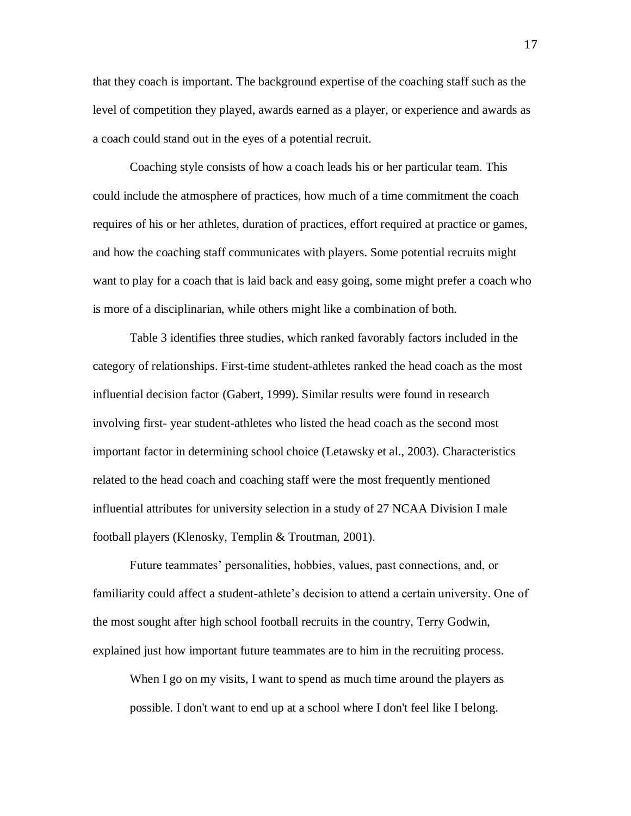that they coach is important. The background expertise of the coaching staff such as the level of competition they played, awards earned as a player, or experience and awards as a coach could stand out in the eyes of a potential recruit.

Coaching style consists of how a coach leads his or her particular team. This could include the atmosphere of practices, how much of a time commitment the coach requires of his or her athletes, duration of practices, effort required at practice or games, and how the coaching staff communicates with players. Some potential recruits might want to play for a coach that is laid back and easy going, some might prefer a coach who is more of a disciplinarian, while others might like a combination of both.

Table 3 identifies three studies, which ranked favorably factors included in the category of relationships. First-time student-athletes ranked the head coach as the most influential decision factor (Gabert, 1999). Similar results were found in research involving first- year student-athletes who listed the head coach as the second most important factor in determining school choice (Letawsky et al., 2003). Characteristics related to the head coach and coaching staff were the most frequently mentioned influential attributes for university selection in a study of 27 NCAA Division I male football players (Klenosky, Templin & Troutman, 2001).

Future teammates' personalities, hobbies, values, past connections, and, or familiarity could affect a student-athlete's decision to attend a certain university. One of the most sought after high school football recruits in the country, Terry Godwin, explained just how important future teammates are to him in the recruiting process.

When I go on my visits, I want to spend as much time around the players as possible. I don't want to end up at a school where I don't feel like I belong.

17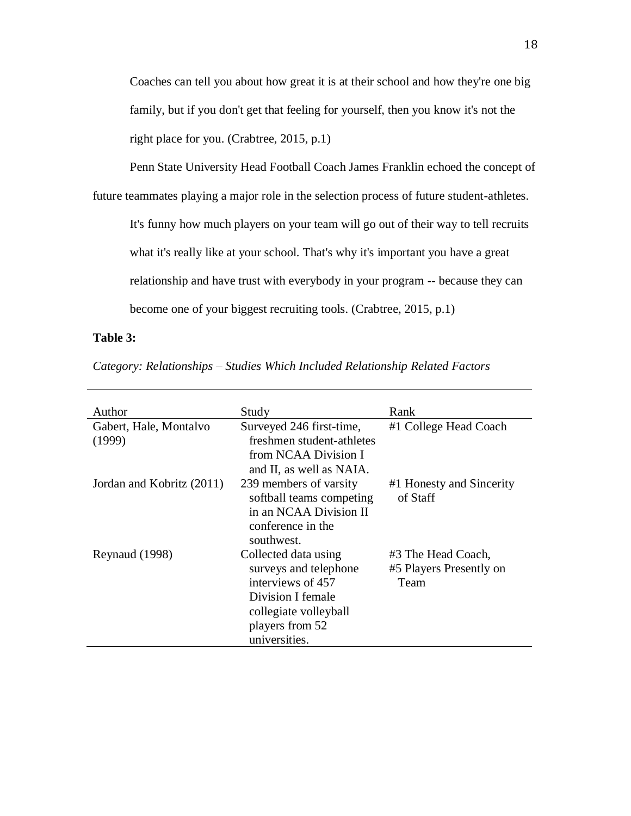Coaches can tell you about how great it is at their school and how they're one big family, but if you don't get that feeling for yourself, then you know it's not the right place for you. (Crabtree, 2015, p.1)

Penn State University Head Football Coach James Franklin echoed the concept of

future teammates playing a major role in the selection process of future student-athletes.

It's funny how much players on your team will go out of their way to tell recruits what it's really like at your school. That's why it's important you have a great relationship and have trust with everybody in your program -- because they can become one of your biggest recruiting tools. (Crabtree, 2015, p.1)

## **Table 3:**

*Category: Relationships – Studies Which Included Relationship Related Factors*

| Author                                                                                                                                                                 | Study                                                                                                           | Rank                                                  |
|------------------------------------------------------------------------------------------------------------------------------------------------------------------------|-----------------------------------------------------------------------------------------------------------------|-------------------------------------------------------|
| Gabert, Hale, Montalvo<br>(1999)                                                                                                                                       | Surveyed 246 first-time,<br>freshmen student-athletes<br>from NCAA Division I<br>and II, as well as NAIA.       | #1 College Head Coach                                 |
| Jordan and Kobritz (2011)                                                                                                                                              | 239 members of varsity<br>softball teams competing<br>in an NCAA Division II<br>conference in the<br>southwest. | #1 Honesty and Sincerity<br>of Staff                  |
| Reynaud (1998)<br>Collected data using<br>surveys and telephone<br>interviews of 457<br>Division I female<br>collegiate volleyball<br>players from 52<br>universities. |                                                                                                                 | #3 The Head Coach,<br>#5 Players Presently on<br>Team |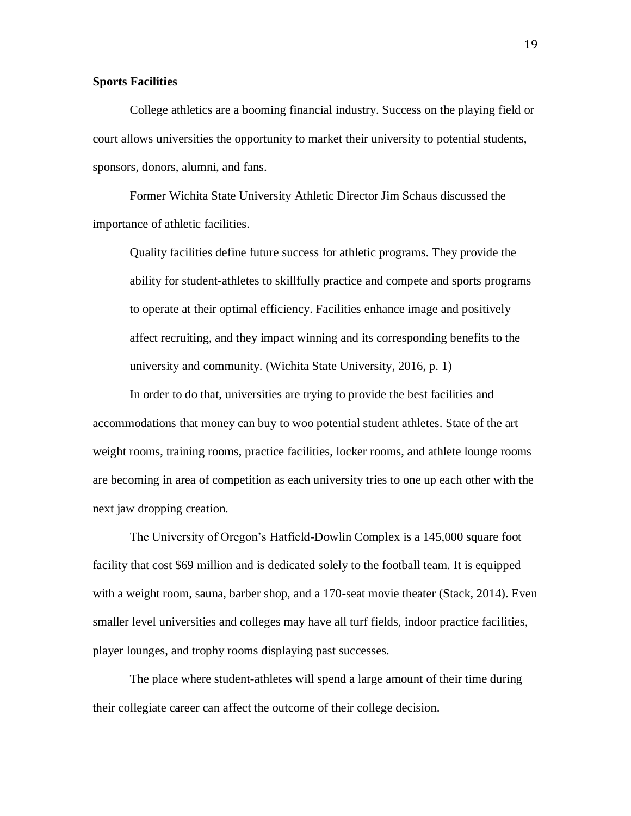## **Sports Facilities**

College athletics are a booming financial industry. Success on the playing field or court allows universities the opportunity to market their university to potential students, sponsors, donors, alumni, and fans.

Former Wichita State University Athletic Director Jim Schaus discussed the importance of athletic facilities.

Quality facilities define future success for athletic programs. They provide the ability for student-athletes to skillfully practice and compete and sports programs to operate at their optimal efficiency. Facilities enhance image and positively affect recruiting, and they impact winning and its corresponding benefits to the university and community. (Wichita State University, 2016, p. 1)

In order to do that, universities are trying to provide the best facilities and accommodations that money can buy to woo potential student athletes. State of the art weight rooms, training rooms, practice facilities, locker rooms, and athlete lounge rooms are becoming in area of competition as each university tries to one up each other with the next jaw dropping creation.

The University of Oregon's Hatfield-Dowlin Complex is a 145,000 square foot facility that cost \$69 million and is dedicated solely to the football team. It is equipped with a weight room, sauna, barber shop, and a 170-seat movie theater (Stack, 2014). Even smaller level universities and colleges may have all turf fields, indoor practice facilities, player lounges, and trophy rooms displaying past successes.

The place where student-athletes will spend a large amount of their time during their collegiate career can affect the outcome of their college decision.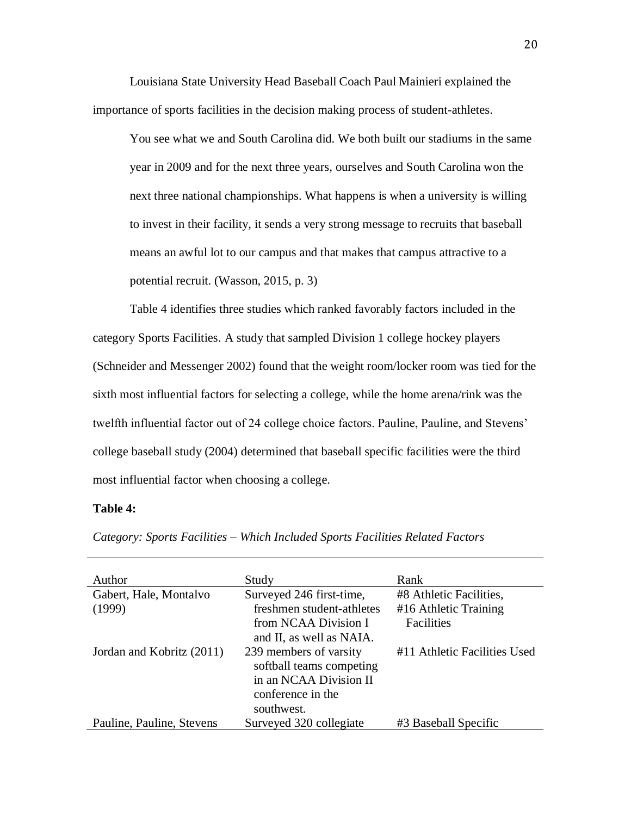Louisiana State University Head Baseball Coach Paul Mainieri explained the importance of sports facilities in the decision making process of student-athletes.

You see what we and South Carolina did. We both built our stadiums in the same year in 2009 and for the next three years, ourselves and South Carolina won the next three national championships. What happens is when a university is willing to invest in their facility, it sends a very strong message to recruits that baseball means an awful lot to our campus and that makes that campus attractive to a potential recruit. (Wasson, 2015, p. 3)

Table 4 identifies three studies which ranked favorably factors included in the category Sports Facilities. A study that sampled Division 1 college hockey players (Schneider and Messenger 2002) found that the weight room/locker room was tied for the sixth most influential factors for selecting a college, while the home arena/rink was the twelfth influential factor out of 24 college choice factors. Pauline, Pauline, and Stevens' college baseball study (2004) determined that baseball specific facilities were the third most influential factor when choosing a college.

#### **Table 4:**

| Author                    | Study                                                                                             | Rank                         |
|---------------------------|---------------------------------------------------------------------------------------------------|------------------------------|
| Gabert, Hale, Montalvo    | Surveyed 246 first-time,                                                                          | #8 Athletic Facilities,      |
| (1999)                    | freshmen student-athletes                                                                         | #16 Athletic Training        |
|                           | from NCAA Division I                                                                              | Facilities                   |
|                           | and II, as well as NAIA.                                                                          |                              |
| Jordan and Kobritz (2011) | 239 members of varsity<br>softball teams competing<br>in an NCAA Division II<br>conference in the | #11 Athletic Facilities Used |
|                           | southwest.                                                                                        |                              |
| Pauline, Pauline, Stevens | Surveyed 320 collegiate                                                                           | #3 Baseball Specific         |

*Category: Sports Facilities – Which Included Sports Facilities Related Factors*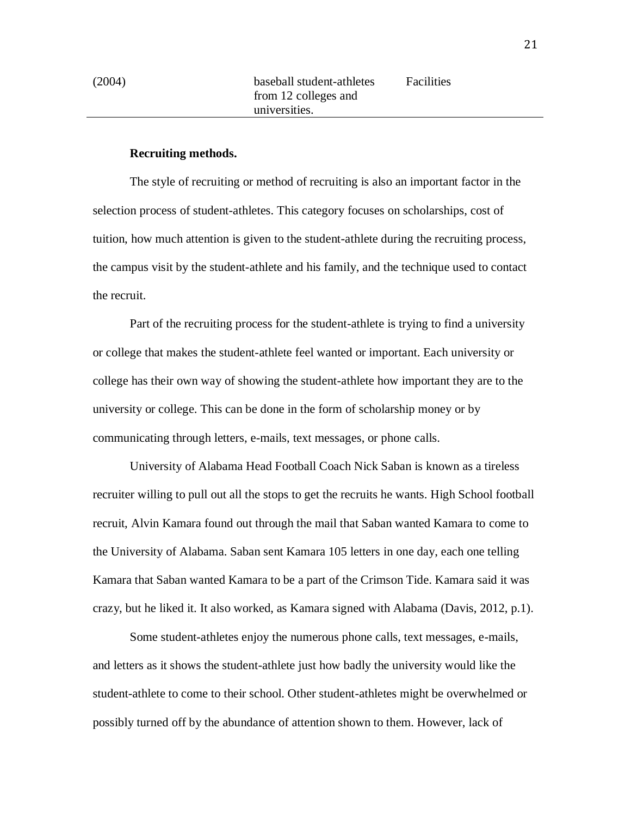## **Recruiting methods.**

The style of recruiting or method of recruiting is also an important factor in the selection process of student-athletes. This category focuses on scholarships, cost of tuition, how much attention is given to the student-athlete during the recruiting process, the campus visit by the student-athlete and his family, and the technique used to contact the recruit.

Part of the recruiting process for the student-athlete is trying to find a university or college that makes the student-athlete feel wanted or important. Each university or college has their own way of showing the student-athlete how important they are to the university or college. This can be done in the form of scholarship money or by communicating through letters, e-mails, text messages, or phone calls.

University of Alabama Head Football Coach Nick Saban is known as a tireless recruiter willing to pull out all the stops to get the recruits he wants. High School football recruit, Alvin Kamara found out through the mail that Saban wanted Kamara to come to the University of Alabama. Saban sent Kamara 105 letters in one day, each one telling Kamara that Saban wanted Kamara to be a part of the Crimson Tide. Kamara said it was crazy, but he liked it. It also worked, as Kamara signed with Alabama (Davis, 2012, p.1).

Some student-athletes enjoy the numerous phone calls, text messages, e-mails, and letters as it shows the student-athlete just how badly the university would like the student-athlete to come to their school. Other student-athletes might be overwhelmed or possibly turned off by the abundance of attention shown to them. However, lack of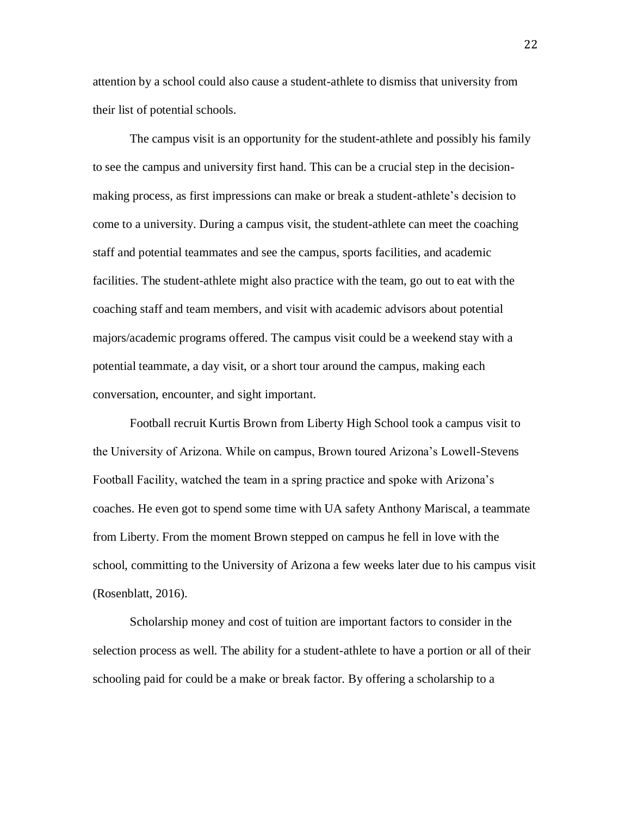attention by a school could also cause a student-athlete to dismiss that university from their list of potential schools.

The campus visit is an opportunity for the student-athlete and possibly his family to see the campus and university first hand. This can be a crucial step in the decisionmaking process, as first impressions can make or break a student-athlete's decision to come to a university. During a campus visit, the student-athlete can meet the coaching staff and potential teammates and see the campus, sports facilities, and academic facilities. The student-athlete might also practice with the team, go out to eat with the coaching staff and team members, and visit with academic advisors about potential majors/academic programs offered. The campus visit could be a weekend stay with a potential teammate, a day visit, or a short tour around the campus, making each conversation, encounter, and sight important.

Football recruit Kurtis Brown from Liberty High School took a campus visit to the University of Arizona. While on campus, Brown toured Arizona's Lowell-Stevens Football Facility, watched the team in a spring practice and spoke with Arizona's coaches. He even got to spend some time with UA safety Anthony Mariscal, a teammate from Liberty. From the moment Brown stepped on campus he fell in love with the school, committing to the University of Arizona a few weeks later due to his campus visit (Rosenblatt, 2016).

Scholarship money and cost of tuition are important factors to consider in the selection process as well. The ability for a student-athlete to have a portion or all of their schooling paid for could be a make or break factor. By offering a scholarship to a

22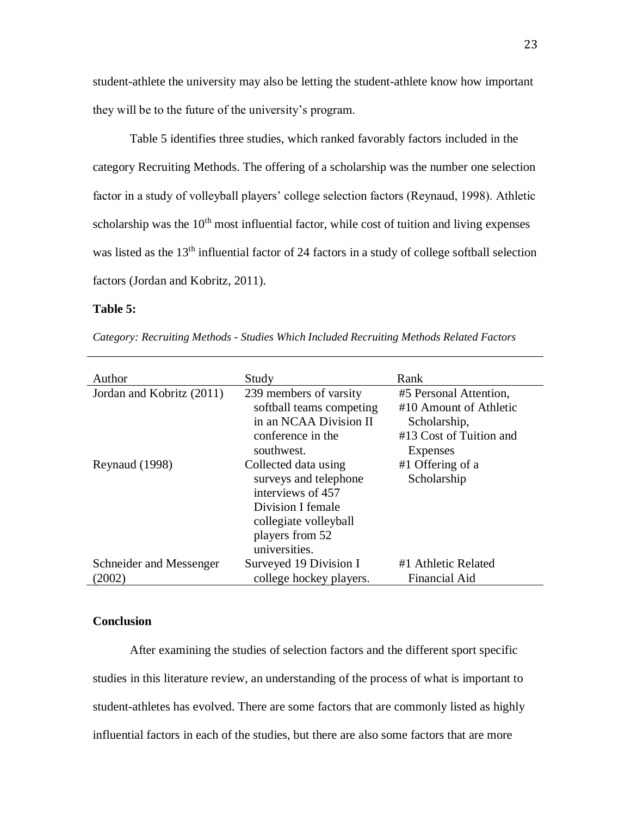student-athlete the university may also be letting the student-athlete know how important they will be to the future of the university's program.

Table 5 identifies three studies, which ranked favorably factors included in the category Recruiting Methods. The offering of a scholarship was the number one selection factor in a study of volleyball players' college selection factors (Reynaud, 1998). Athletic scholarship was the  $10<sup>th</sup>$  most influential factor, while cost of tuition and living expenses was listed as the 13<sup>th</sup> influential factor of 24 factors in a study of college softball selection factors (Jordan and Kobritz, 2011).

## **Table 5:**

*Category: Recruiting Methods - Studies Which Included Recruiting Methods Related Factors*

| Author                    | Study                    | Rank                    |
|---------------------------|--------------------------|-------------------------|
| Jordan and Kobritz (2011) | 239 members of varsity   | #5 Personal Attention,  |
|                           | softball teams competing | #10 Amount of Athletic  |
|                           | in an NCAA Division II   | Scholarship,            |
|                           | conference in the        | #13 Cost of Tuition and |
|                           | southwest.               | Expenses                |
| Reynaud (1998)            | Collected data using     | #1 Offering of a        |
|                           | surveys and telephone    | Scholarship             |
|                           | interviews of 457        |                         |
|                           | Division I female        |                         |
|                           | collegiate volleyball    |                         |
|                           | players from 52          |                         |
|                           | universities.            |                         |
| Schneider and Messenger   | Surveyed 19 Division I   | #1 Athletic Related     |
| (2002)                    | college hockey players.  | Financial Aid           |

#### **Conclusion**

After examining the studies of selection factors and the different sport specific studies in this literature review, an understanding of the process of what is important to student-athletes has evolved. There are some factors that are commonly listed as highly influential factors in each of the studies, but there are also some factors that are more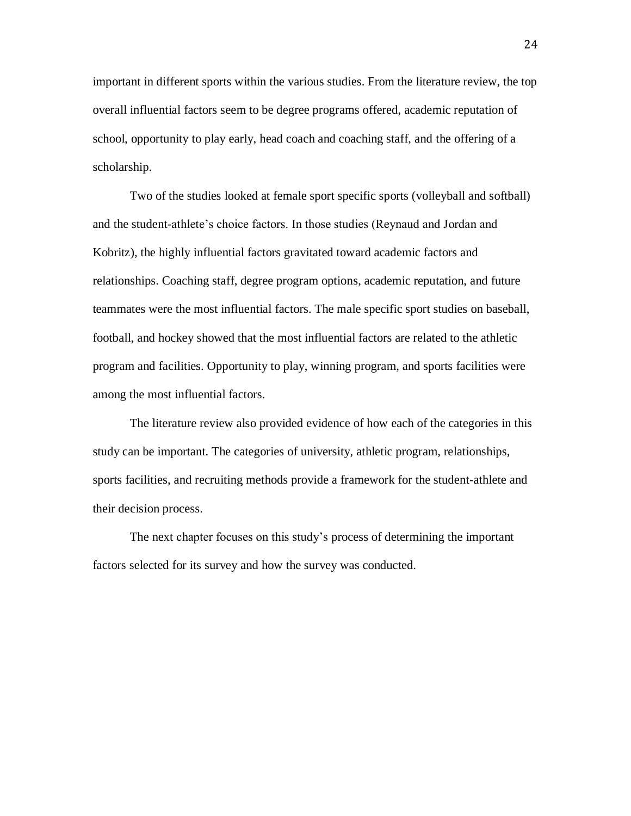important in different sports within the various studies. From the literature review, the top overall influential factors seem to be degree programs offered, academic reputation of school, opportunity to play early, head coach and coaching staff, and the offering of a scholarship.

Two of the studies looked at female sport specific sports (volleyball and softball) and the student-athlete's choice factors. In those studies (Reynaud and Jordan and Kobritz), the highly influential factors gravitated toward academic factors and relationships. Coaching staff, degree program options, academic reputation, and future teammates were the most influential factors. The male specific sport studies on baseball, football, and hockey showed that the most influential factors are related to the athletic program and facilities. Opportunity to play, winning program, and sports facilities were among the most influential factors.

The literature review also provided evidence of how each of the categories in this study can be important. The categories of university, athletic program, relationships, sports facilities, and recruiting methods provide a framework for the student-athlete and their decision process.

The next chapter focuses on this study's process of determining the important factors selected for its survey and how the survey was conducted.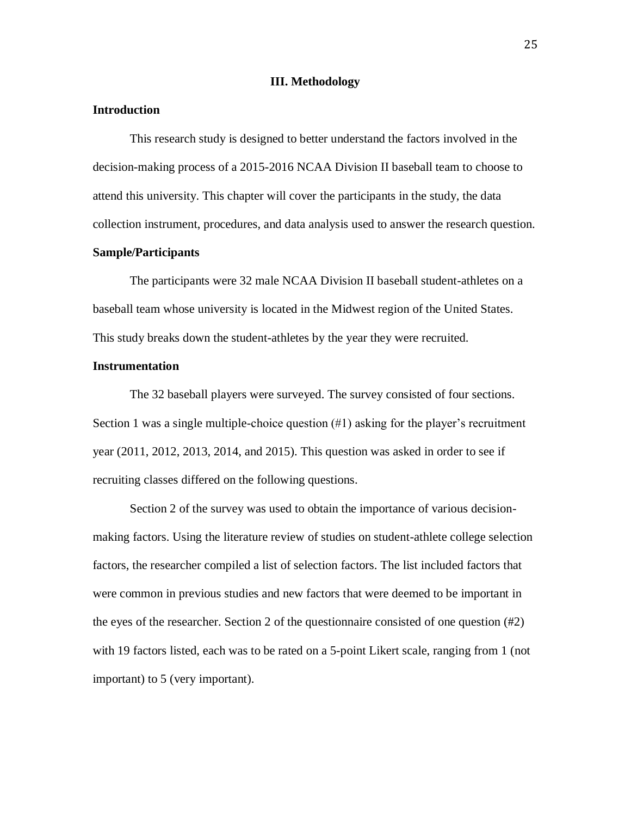#### **III. Methodology**

## **Introduction**

This research study is designed to better understand the factors involved in the decision-making process of a 2015-2016 NCAA Division II baseball team to choose to attend this university. This chapter will cover the participants in the study, the data collection instrument, procedures, and data analysis used to answer the research question.

## **Sample/Participants**

The participants were 32 male NCAA Division II baseball student-athletes on a baseball team whose university is located in the Midwest region of the United States. This study breaks down the student-athletes by the year they were recruited.

## **Instrumentation**

The 32 baseball players were surveyed. The survey consisted of four sections. Section 1 was a single multiple-choice question  $(\#1)$  asking for the player's recruitment year (2011, 2012, 2013, 2014, and 2015). This question was asked in order to see if recruiting classes differed on the following questions.

Section 2 of the survey was used to obtain the importance of various decisionmaking factors. Using the literature review of studies on student-athlete college selection factors, the researcher compiled a list of selection factors. The list included factors that were common in previous studies and new factors that were deemed to be important in the eyes of the researcher. Section 2 of the questionnaire consisted of one question (#2) with 19 factors listed, each was to be rated on a 5-point Likert scale, ranging from 1 (not important) to 5 (very important).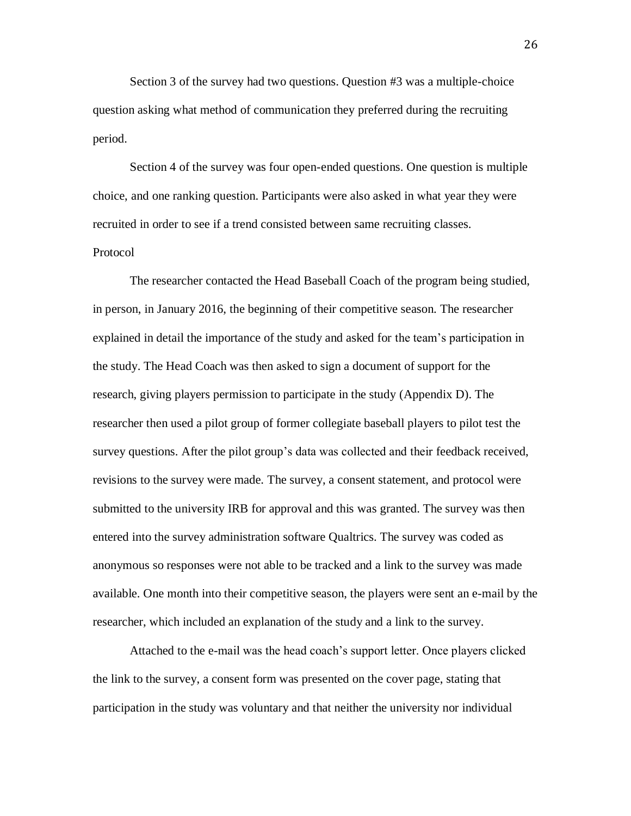Section 3 of the survey had two questions. Question #3 was a multiple-choice question asking what method of communication they preferred during the recruiting period.

Section 4 of the survey was four open-ended questions. One question is multiple choice, and one ranking question. Participants were also asked in what year they were recruited in order to see if a trend consisted between same recruiting classes. Protocol

The researcher contacted the Head Baseball Coach of the program being studied, in person, in January 2016, the beginning of their competitive season. The researcher explained in detail the importance of the study and asked for the team's participation in the study. The Head Coach was then asked to sign a document of support for the research, giving players permission to participate in the study (Appendix D). The researcher then used a pilot group of former collegiate baseball players to pilot test the survey questions. After the pilot group's data was collected and their feedback received, revisions to the survey were made. The survey, a consent statement, and protocol were submitted to the university IRB for approval and this was granted. The survey was then entered into the survey administration software Qualtrics. The survey was coded as anonymous so responses were not able to be tracked and a link to the survey was made available. One month into their competitive season, the players were sent an e-mail by the researcher, which included an explanation of the study and a link to the survey.

Attached to the e-mail was the head coach's support letter. Once players clicked the link to the survey, a consent form was presented on the cover page, stating that participation in the study was voluntary and that neither the university nor individual

26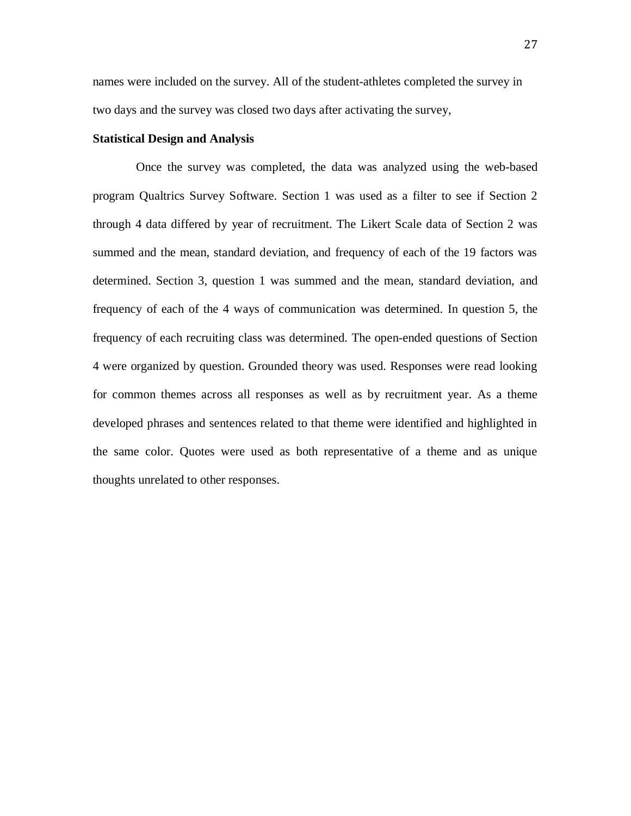names were included on the survey. All of the student-athletes completed the survey in two days and the survey was closed two days after activating the survey,

## **Statistical Design and Analysis**

 Once the survey was completed, the data was analyzed using the web-based program Qualtrics Survey Software. Section 1 was used as a filter to see if Section 2 through 4 data differed by year of recruitment. The Likert Scale data of Section 2 was summed and the mean, standard deviation, and frequency of each of the 19 factors was determined. Section 3, question 1 was summed and the mean, standard deviation, and frequency of each of the 4 ways of communication was determined. In question 5, the frequency of each recruiting class was determined. The open-ended questions of Section 4 were organized by question. Grounded theory was used. Responses were read looking for common themes across all responses as well as by recruitment year. As a theme developed phrases and sentences related to that theme were identified and highlighted in the same color. Quotes were used as both representative of a theme and as unique thoughts unrelated to other responses.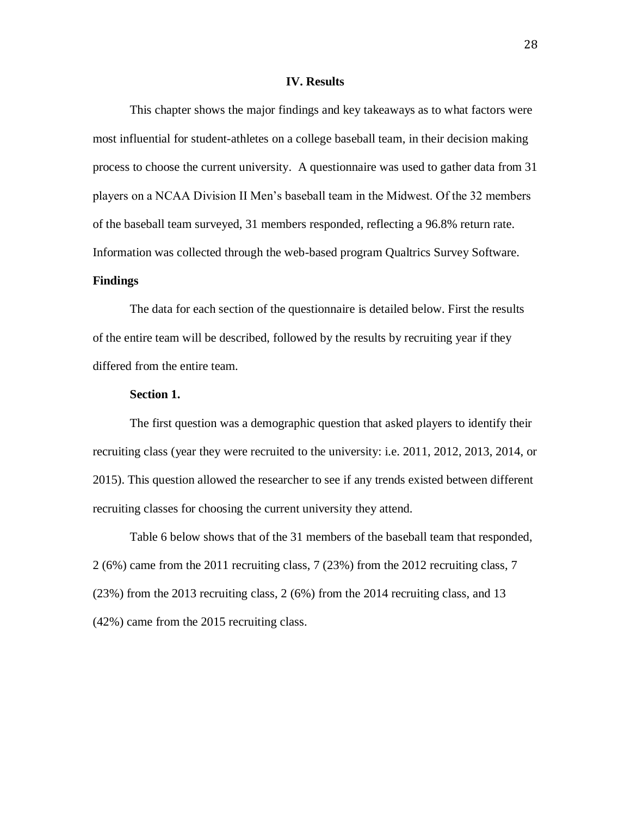#### **IV. Results**

This chapter shows the major findings and key takeaways as to what factors were most influential for student-athletes on a college baseball team, in their decision making process to choose the current university. A questionnaire was used to gather data from 31 players on a NCAA Division II Men's baseball team in the Midwest. Of the 32 members of the baseball team surveyed, 31 members responded, reflecting a 96.8% return rate. Information was collected through the web-based program Qualtrics Survey Software.

## **Findings**

The data for each section of the questionnaire is detailed below. First the results of the entire team will be described, followed by the results by recruiting year if they differed from the entire team.

## **Section 1.**

The first question was a demographic question that asked players to identify their recruiting class (year they were recruited to the university: i.e. 2011, 2012, 2013, 2014, or 2015). This question allowed the researcher to see if any trends existed between different recruiting classes for choosing the current university they attend.

Table 6 below shows that of the 31 members of the baseball team that responded, 2 (6%) came from the 2011 recruiting class, 7 (23%) from the 2012 recruiting class, 7 (23%) from the 2013 recruiting class, 2 (6%) from the 2014 recruiting class, and 13 (42%) came from the 2015 recruiting class.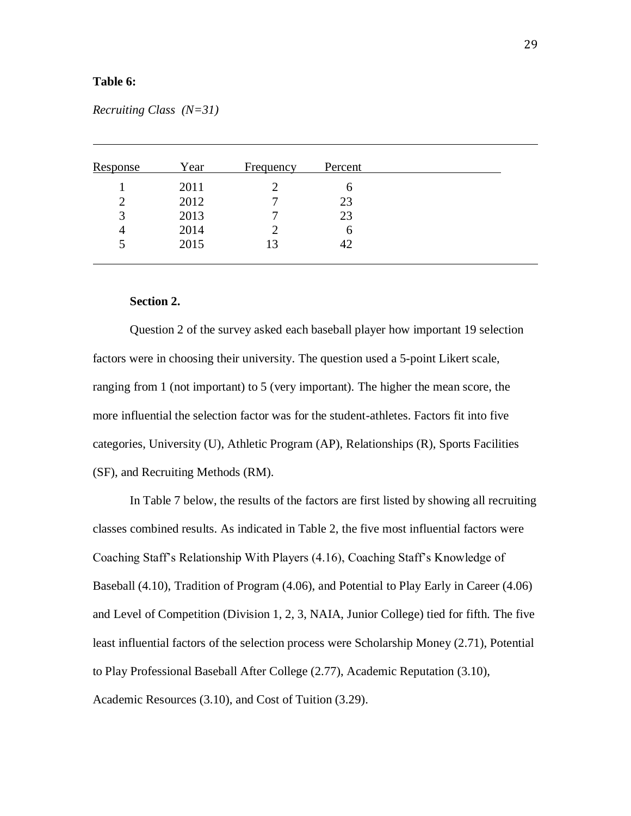## **Table 6:**

| Year | <b>Frequency</b> | Percent |  |
|------|------------------|---------|--|
| 2011 |                  | h       |  |
| 2012 |                  | 23      |  |
| 2013 |                  | 23      |  |
| 2014 |                  | h       |  |
| 2015 | 13               | 42      |  |
|      |                  |         |  |

*Recruiting Class (N=31)*

## **Section 2.**

Question 2 of the survey asked each baseball player how important 19 selection factors were in choosing their university. The question used a 5-point Likert scale, ranging from 1 (not important) to 5 (very important). The higher the mean score, the more influential the selection factor was for the student-athletes. Factors fit into five categories, University (U), Athletic Program (AP), Relationships (R), Sports Facilities (SF), and Recruiting Methods (RM).

In Table 7 below, the results of the factors are first listed by showing all recruiting classes combined results. As indicated in Table 2, the five most influential factors were Coaching Staff's Relationship With Players (4.16), Coaching Staff's Knowledge of Baseball (4.10), Tradition of Program (4.06), and Potential to Play Early in Career (4.06) and Level of Competition (Division 1, 2, 3, NAIA, Junior College) tied for fifth. The five least influential factors of the selection process were Scholarship Money (2.71), Potential to Play Professional Baseball After College (2.77), Academic Reputation (3.10), Academic Resources (3.10), and Cost of Tuition (3.29).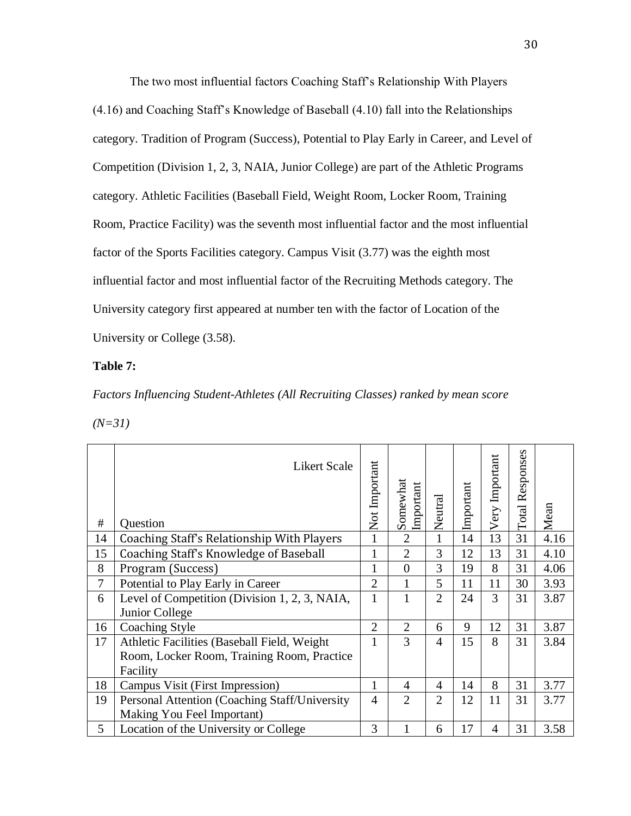The two most influential factors Coaching Staff's Relationship With Players (4.16) and Coaching Staff's Knowledge of Baseball (4.10) fall into the Relationships category. Tradition of Program (Success), Potential to Play Early in Career, and Level of Competition (Division 1, 2, 3, NAIA, Junior College) are part of the Athletic Programs category. Athletic Facilities (Baseball Field, Weight Room, Locker Room, Training Room, Practice Facility) was the seventh most influential factor and the most influential factor of the Sports Facilities category. Campus Visit (3.77) was the eighth most influential factor and most influential factor of the Recruiting Methods category. The University category first appeared at number ten with the factor of Location of the University or College (3.58).

#### **Table 7:**

*Factors Influencing Student-Athletes (All Recruiting Classes) ranked by mean score*

| × |  |
|---|--|
|   |  |

| #      | <b>Likert Scale</b><br>Question                                 | Not Important  | Somewhat<br>Important | Neutral        | Important | Very Important | Total Responses | Mean |
|--------|-----------------------------------------------------------------|----------------|-----------------------|----------------|-----------|----------------|-----------------|------|
| 14     | Coaching Staff's Relationship With Players                      | 1              | $\overline{2}$        | $\mathbf{1}$   | 14        | 13             | 31              | 4.16 |
| 15     | <b>Coaching Staff's Knowledge of Baseball</b>                   | 1              | $\overline{2}$        | 3              | 12        | 13             | 31              | 4.10 |
| 8      | Program (Success)                                               | 1              | $\overline{0}$        | 3              | 19        | 8              | 31              | 4.06 |
| $\tau$ | Potential to Play Early in Career                               | $\overline{2}$ | 1                     | 5              | 11        | 11             | 30              | 3.93 |
| 6      | Level of Competition (Division 1, 2, 3, NAIA,<br>Junior College | $\mathbf{1}$   | 1                     | $\overline{2}$ | 24        | 3              | 31              | 3.87 |
| 16     | <b>Coaching Style</b>                                           | $\overline{2}$ | $\overline{2}$        | 6              | 9         | 12             | 31              | 3.87 |
| 17     | Athletic Facilities (Baseball Field, Weight)                    | 1              | 3                     | $\overline{4}$ | 15        | 8              | 31              | 3.84 |
|        | Room, Locker Room, Training Room, Practice                      |                |                       |                |           |                |                 |      |
|        | Facility                                                        |                |                       |                |           |                |                 |      |
| 18     | Campus Visit (First Impression)                                 | 1              | 4                     | $\overline{4}$ | 14        | 8              | 31              | 3.77 |
| 19     | Personal Attention (Coaching Staff/University                   | $\overline{4}$ | $\overline{2}$        | $\overline{2}$ | 12        | 11             | 31              | 3.77 |
|        | Making You Feel Important)                                      |                |                       |                |           |                |                 |      |
| 5      | Location of the University or College                           | 3              |                       | 6              | 17        | 4              | 31              | 3.58 |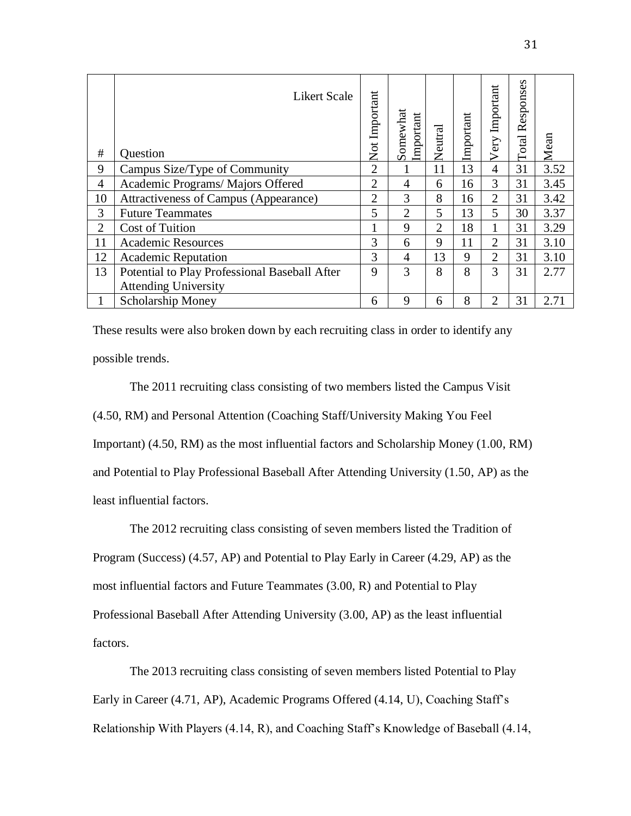| #              | <b>Likert Scale</b><br>Question               | Not Important  | Somewhat<br>Important | Neutral        | Important | Important<br>Very | ses<br>Respons<br>Total | Mean |
|----------------|-----------------------------------------------|----------------|-----------------------|----------------|-----------|-------------------|-------------------------|------|
| 9              | Campus Size/Type of Community                 | $\overline{2}$ |                       | 11             | 13        | $\overline{4}$    | 31                      | 3.52 |
| 4              | Academic Programs/Majors Offered              | $\overline{2}$ | 4                     | 6              | 16        | 3                 | 31                      | 3.45 |
| 10             | Attractiveness of Campus (Appearance)         | $\overline{2}$ | 3                     | 8              | 16        | 2                 | 31                      | 3.42 |
| 3              | <b>Future Teammates</b>                       | 5              | $\overline{2}$        | 5              | 13        | 5                 | 30                      | 3.37 |
| $\overline{2}$ | Cost of Tuition                               | 1              | 9                     | $\overline{2}$ | 18        |                   | 31                      | 3.29 |
| 11             | <b>Academic Resources</b>                     | 3              | 6                     | 9              | 11        | $\overline{2}$    | 31                      | 3.10 |
| 12             | <b>Academic Reputation</b>                    | 3              | $\overline{4}$        | 13             | 9         | $\overline{2}$    | 31                      | 3.10 |
| 13             | Potential to Play Professional Baseball After | 9              | 3                     | 8              | 8         | 3                 | 31                      | 2.77 |
|                | <b>Attending University</b>                   |                |                       |                |           |                   |                         |      |
|                | <b>Scholarship Money</b>                      | 6              | 9                     | 6              | 8         | 2                 | 31                      | 2.71 |

These results were also broken down by each recruiting class in order to identify any possible trends.

The 2011 recruiting class consisting of two members listed the Campus Visit (4.50, RM) and Personal Attention (Coaching Staff/University Making You Feel Important) (4.50, RM) as the most influential factors and Scholarship Money (1.00, RM) and Potential to Play Professional Baseball After Attending University (1.50, AP) as the least influential factors.

The 2012 recruiting class consisting of seven members listed the Tradition of Program (Success) (4.57, AP) and Potential to Play Early in Career (4.29, AP) as the most influential factors and Future Teammates (3.00, R) and Potential to Play Professional Baseball After Attending University (3.00, AP) as the least influential factors.

The 2013 recruiting class consisting of seven members listed Potential to Play Early in Career (4.71, AP), Academic Programs Offered (4.14, U), Coaching Staff's Relationship With Players (4.14, R), and Coaching Staff's Knowledge of Baseball (4.14,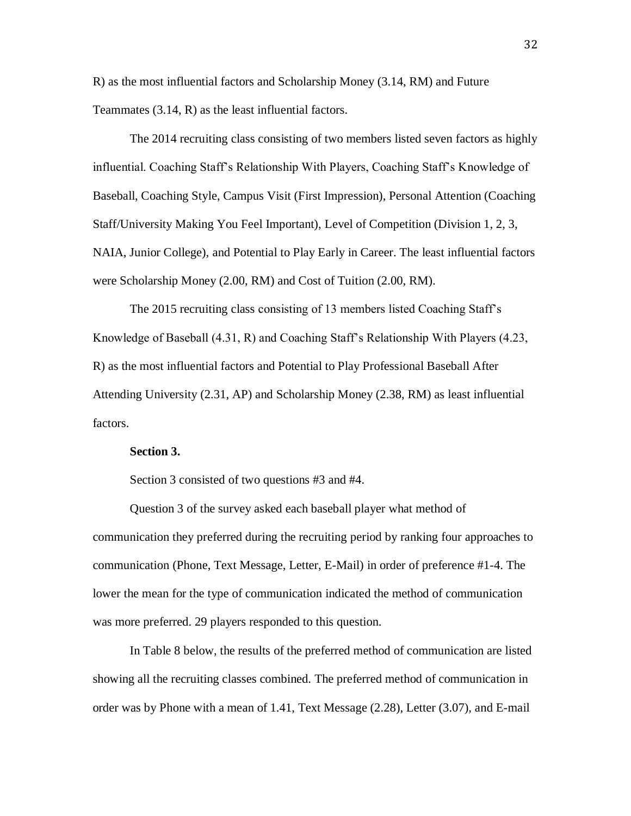R) as the most influential factors and Scholarship Money (3.14, RM) and Future Teammates (3.14, R) as the least influential factors.

The 2014 recruiting class consisting of two members listed seven factors as highly influential. Coaching Staff's Relationship With Players, Coaching Staff's Knowledge of Baseball, Coaching Style, Campus Visit (First Impression), Personal Attention (Coaching Staff/University Making You Feel Important), Level of Competition (Division 1, 2, 3, NAIA, Junior College), and Potential to Play Early in Career. The least influential factors were Scholarship Money (2.00, RM) and Cost of Tuition (2.00, RM).

The 2015 recruiting class consisting of 13 members listed Coaching Staff's Knowledge of Baseball (4.31, R) and Coaching Staff's Relationship With Players (4.23, R) as the most influential factors and Potential to Play Professional Baseball After Attending University (2.31, AP) and Scholarship Money (2.38, RM) as least influential factors.

## **Section 3.**

Section 3 consisted of two questions #3 and #4.

Question 3 of the survey asked each baseball player what method of communication they preferred during the recruiting period by ranking four approaches to communication (Phone, Text Message, Letter, E-Mail) in order of preference #1-4. The lower the mean for the type of communication indicated the method of communication was more preferred. 29 players responded to this question.

In Table 8 below, the results of the preferred method of communication are listed showing all the recruiting classes combined. The preferred method of communication in order was by Phone with a mean of 1.41, Text Message (2.28), Letter (3.07), and E-mail

32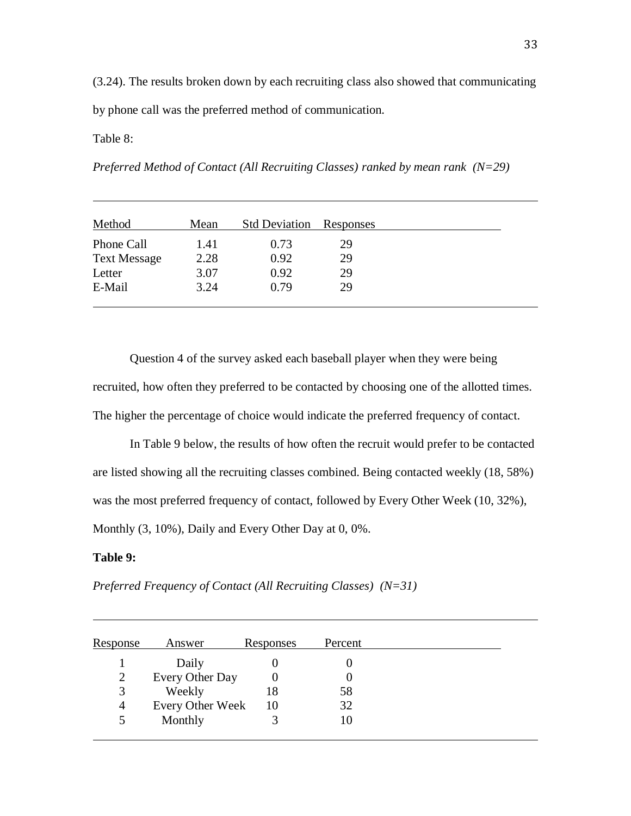(3.24). The results broken down by each recruiting class also showed that communicating by phone call was the preferred method of communication.

## Table 8:

*Preferred Method of Contact (All Recruiting Classes) ranked by mean rank (N=29)*

| Method              | Mean | <b>Std Deviation</b> | <b>Responses</b> |  |
|---------------------|------|----------------------|------------------|--|
| Phone Call          | 1.41 | 0.73                 | 29               |  |
| <b>Text Message</b> | 2.28 | 0.92                 | 29               |  |
| Letter              | 3.07 | 0.92                 | 29               |  |
| E-Mail              | 3.24 | 0.79                 | 29               |  |

Question 4 of the survey asked each baseball player when they were being recruited, how often they preferred to be contacted by choosing one of the allotted times. The higher the percentage of choice would indicate the preferred frequency of contact.

In Table 9 below, the results of how often the recruit would prefer to be contacted are listed showing all the recruiting classes combined. Being contacted weekly (18, 58%) was the most preferred frequency of contact, followed by Every Other Week (10, 32%), Monthly  $(3, 10\%)$ , Daily and Every Other Day at 0, 0%.

## **Table 9:**

*Preferred Frequency of Contact (All Recruiting Classes) (N=31)*

| Response | Answer           | <b>Responses</b> | Percent |  |
|----------|------------------|------------------|---------|--|
|          | Daily            |                  |         |  |
|          | Every Other Day  |                  |         |  |
| 3        | Weekly           | 18               | 58      |  |
| 4        | Every Other Week | 10               | 32      |  |
| 5        | Monthly          | 3                | 10      |  |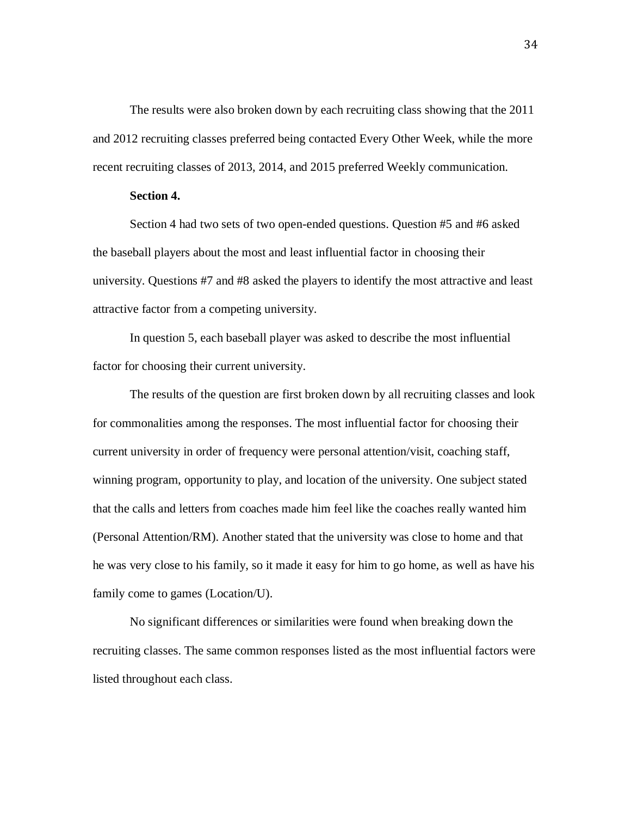The results were also broken down by each recruiting class showing that the 2011 and 2012 recruiting classes preferred being contacted Every Other Week, while the more recent recruiting classes of 2013, 2014, and 2015 preferred Weekly communication.

## **Section 4.**

Section 4 had two sets of two open-ended questions. Question #5 and #6 asked the baseball players about the most and least influential factor in choosing their university. Questions #7 and #8 asked the players to identify the most attractive and least attractive factor from a competing university.

In question 5, each baseball player was asked to describe the most influential factor for choosing their current university.

The results of the question are first broken down by all recruiting classes and look for commonalities among the responses. The most influential factor for choosing their current university in order of frequency were personal attention/visit, coaching staff, winning program, opportunity to play, and location of the university. One subject stated that the calls and letters from coaches made him feel like the coaches really wanted him (Personal Attention/RM). Another stated that the university was close to home and that he was very close to his family, so it made it easy for him to go home, as well as have his family come to games (Location/U).

No significant differences or similarities were found when breaking down the recruiting classes. The same common responses listed as the most influential factors were listed throughout each class.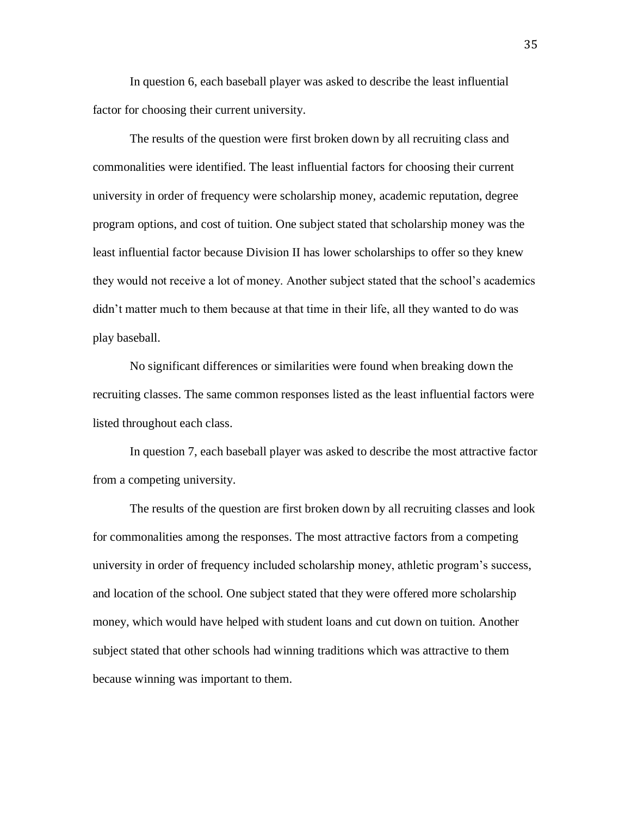In question 6, each baseball player was asked to describe the least influential factor for choosing their current university.

The results of the question were first broken down by all recruiting class and commonalities were identified. The least influential factors for choosing their current university in order of frequency were scholarship money, academic reputation, degree program options, and cost of tuition. One subject stated that scholarship money was the least influential factor because Division II has lower scholarships to offer so they knew they would not receive a lot of money. Another subject stated that the school's academics didn't matter much to them because at that time in their life, all they wanted to do was play baseball.

No significant differences or similarities were found when breaking down the recruiting classes. The same common responses listed as the least influential factors were listed throughout each class.

In question 7, each baseball player was asked to describe the most attractive factor from a competing university.

The results of the question are first broken down by all recruiting classes and look for commonalities among the responses. The most attractive factors from a competing university in order of frequency included scholarship money, athletic program's success, and location of the school. One subject stated that they were offered more scholarship money, which would have helped with student loans and cut down on tuition. Another subject stated that other schools had winning traditions which was attractive to them because winning was important to them.

35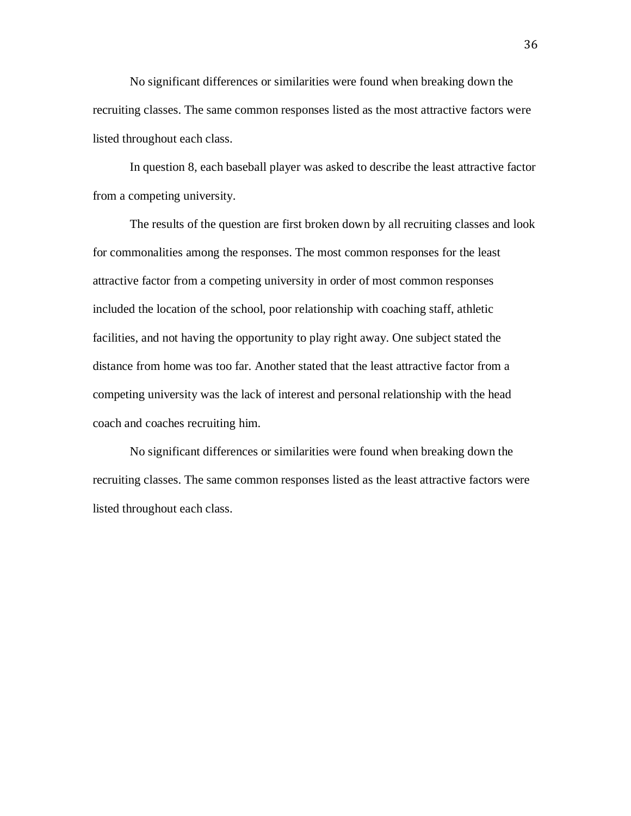No significant differences or similarities were found when breaking down the recruiting classes. The same common responses listed as the most attractive factors were listed throughout each class.

In question 8, each baseball player was asked to describe the least attractive factor from a competing university.

The results of the question are first broken down by all recruiting classes and look for commonalities among the responses. The most common responses for the least attractive factor from a competing university in order of most common responses included the location of the school, poor relationship with coaching staff, athletic facilities, and not having the opportunity to play right away. One subject stated the distance from home was too far. Another stated that the least attractive factor from a competing university was the lack of interest and personal relationship with the head coach and coaches recruiting him.

No significant differences or similarities were found when breaking down the recruiting classes. The same common responses listed as the least attractive factors were listed throughout each class.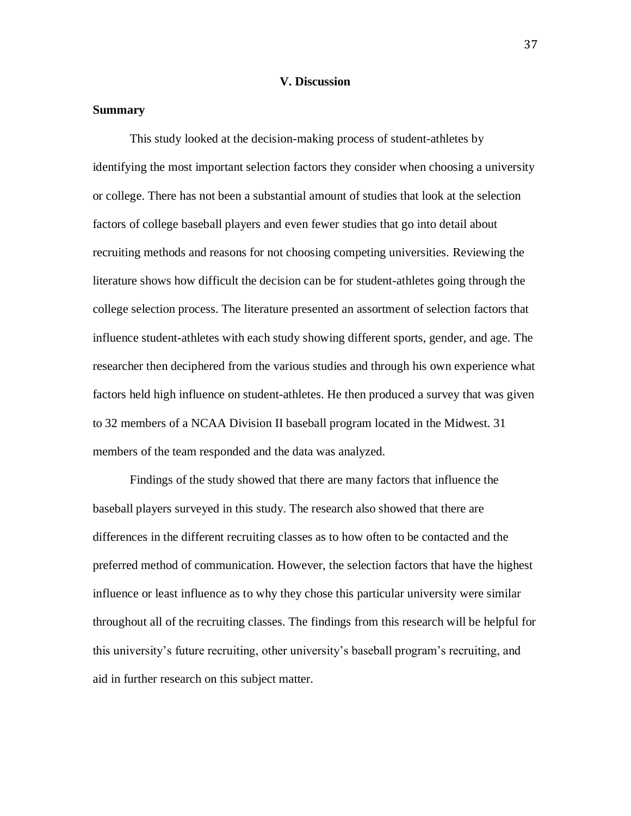## **V. Discussion**

## **Summary**

This study looked at the decision-making process of student-athletes by identifying the most important selection factors they consider when choosing a university or college. There has not been a substantial amount of studies that look at the selection factors of college baseball players and even fewer studies that go into detail about recruiting methods and reasons for not choosing competing universities. Reviewing the literature shows how difficult the decision can be for student-athletes going through the college selection process. The literature presented an assortment of selection factors that influence student-athletes with each study showing different sports, gender, and age. The researcher then deciphered from the various studies and through his own experience what factors held high influence on student-athletes. He then produced a survey that was given to 32 members of a NCAA Division II baseball program located in the Midwest. 31 members of the team responded and the data was analyzed.

Findings of the study showed that there are many factors that influence the baseball players surveyed in this study. The research also showed that there are differences in the different recruiting classes as to how often to be contacted and the preferred method of communication. However, the selection factors that have the highest influence or least influence as to why they chose this particular university were similar throughout all of the recruiting classes. The findings from this research will be helpful for this university's future recruiting, other university's baseball program's recruiting, and aid in further research on this subject matter.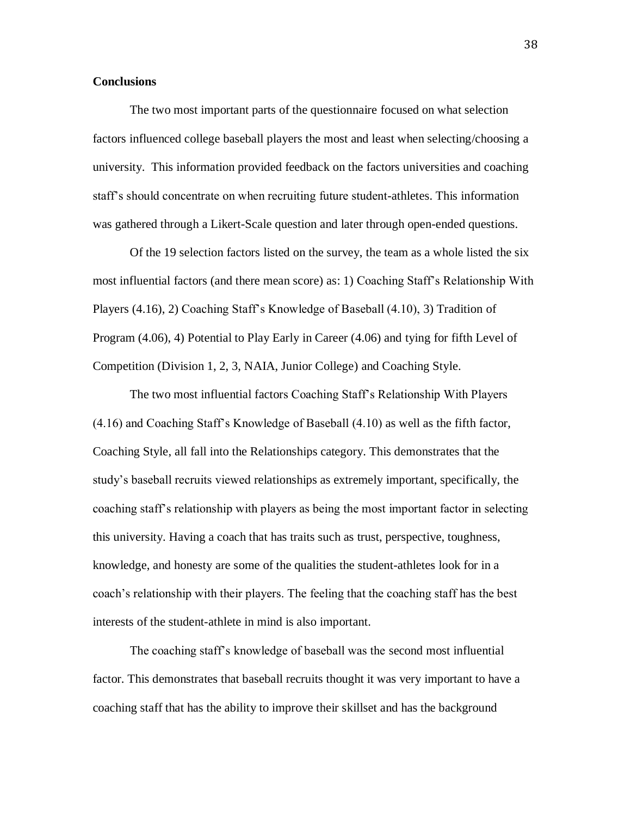## **Conclusions**

The two most important parts of the questionnaire focused on what selection factors influenced college baseball players the most and least when selecting/choosing a university. This information provided feedback on the factors universities and coaching staff's should concentrate on when recruiting future student-athletes. This information was gathered through a Likert-Scale question and later through open-ended questions.

Of the 19 selection factors listed on the survey, the team as a whole listed the six most influential factors (and there mean score) as: 1) Coaching Staff's Relationship With Players (4.16), 2) Coaching Staff's Knowledge of Baseball (4.10), 3) Tradition of Program (4.06), 4) Potential to Play Early in Career (4.06) and tying for fifth Level of Competition (Division 1, 2, 3, NAIA, Junior College) and Coaching Style.

The two most influential factors Coaching Staff's Relationship With Players (4.16) and Coaching Staff's Knowledge of Baseball (4.10) as well as the fifth factor, Coaching Style, all fall into the Relationships category. This demonstrates that the study's baseball recruits viewed relationships as extremely important, specifically, the coaching staff's relationship with players as being the most important factor in selecting this university. Having a coach that has traits such as trust, perspective, toughness, knowledge, and honesty are some of the qualities the student-athletes look for in a coach's relationship with their players. The feeling that the coaching staff has the best interests of the student-athlete in mind is also important.

The coaching staff's knowledge of baseball was the second most influential factor. This demonstrates that baseball recruits thought it was very important to have a coaching staff that has the ability to improve their skillset and has the background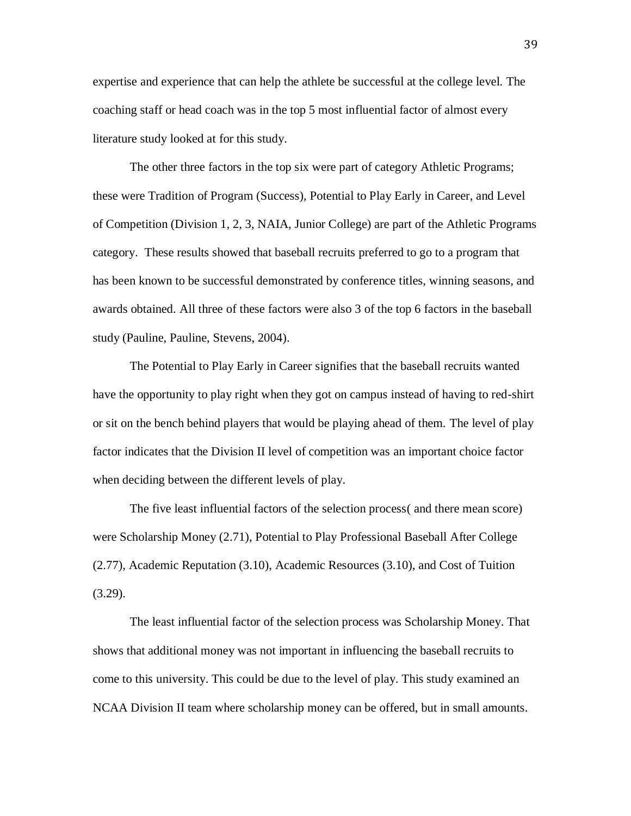expertise and experience that can help the athlete be successful at the college level. The coaching staff or head coach was in the top 5 most influential factor of almost every literature study looked at for this study.

The other three factors in the top six were part of category Athletic Programs; these were Tradition of Program (Success), Potential to Play Early in Career, and Level of Competition (Division 1, 2, 3, NAIA, Junior College) are part of the Athletic Programs category. These results showed that baseball recruits preferred to go to a program that has been known to be successful demonstrated by conference titles, winning seasons, and awards obtained. All three of these factors were also 3 of the top 6 factors in the baseball study (Pauline, Pauline, Stevens, 2004).

The Potential to Play Early in Career signifies that the baseball recruits wanted have the opportunity to play right when they got on campus instead of having to red-shirt or sit on the bench behind players that would be playing ahead of them. The level of play factor indicates that the Division II level of competition was an important choice factor when deciding between the different levels of play.

The five least influential factors of the selection process( and there mean score) were Scholarship Money (2.71), Potential to Play Professional Baseball After College (2.77), Academic Reputation (3.10), Academic Resources (3.10), and Cost of Tuition (3.29).

The least influential factor of the selection process was Scholarship Money. That shows that additional money was not important in influencing the baseball recruits to come to this university. This could be due to the level of play. This study examined an NCAA Division II team where scholarship money can be offered, but in small amounts.

39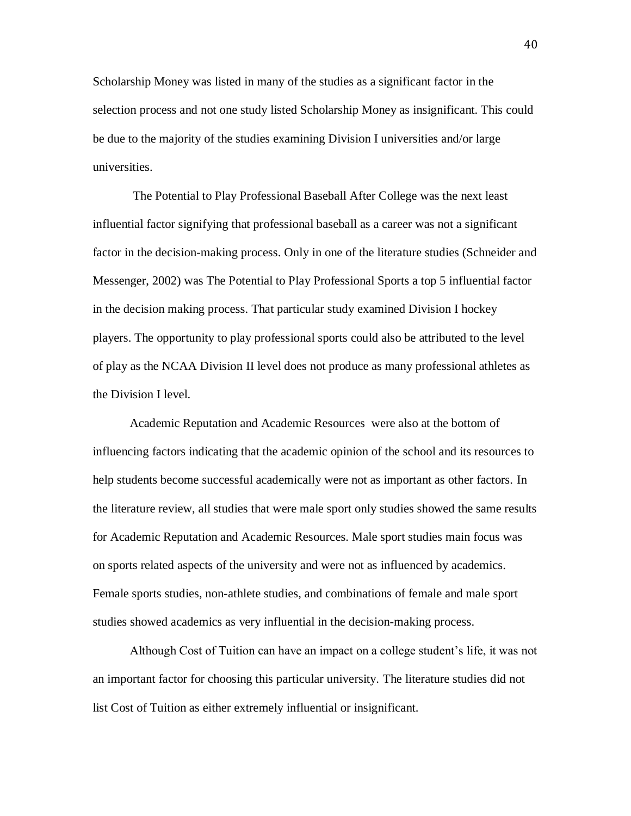Scholarship Money was listed in many of the studies as a significant factor in the selection process and not one study listed Scholarship Money as insignificant. This could be due to the majority of the studies examining Division I universities and/or large universities.

The Potential to Play Professional Baseball After College was the next least influential factor signifying that professional baseball as a career was not a significant factor in the decision-making process. Only in one of the literature studies (Schneider and Messenger, 2002) was The Potential to Play Professional Sports a top 5 influential factor in the decision making process. That particular study examined Division I hockey players. The opportunity to play professional sports could also be attributed to the level of play as the NCAA Division II level does not produce as many professional athletes as the Division I level.

Academic Reputation and Academic Resources were also at the bottom of influencing factors indicating that the academic opinion of the school and its resources to help students become successful academically were not as important as other factors. In the literature review, all studies that were male sport only studies showed the same results for Academic Reputation and Academic Resources. Male sport studies main focus was on sports related aspects of the university and were not as influenced by academics. Female sports studies, non-athlete studies, and combinations of female and male sport studies showed academics as very influential in the decision-making process.

Although Cost of Tuition can have an impact on a college student's life, it was not an important factor for choosing this particular university. The literature studies did not list Cost of Tuition as either extremely influential or insignificant.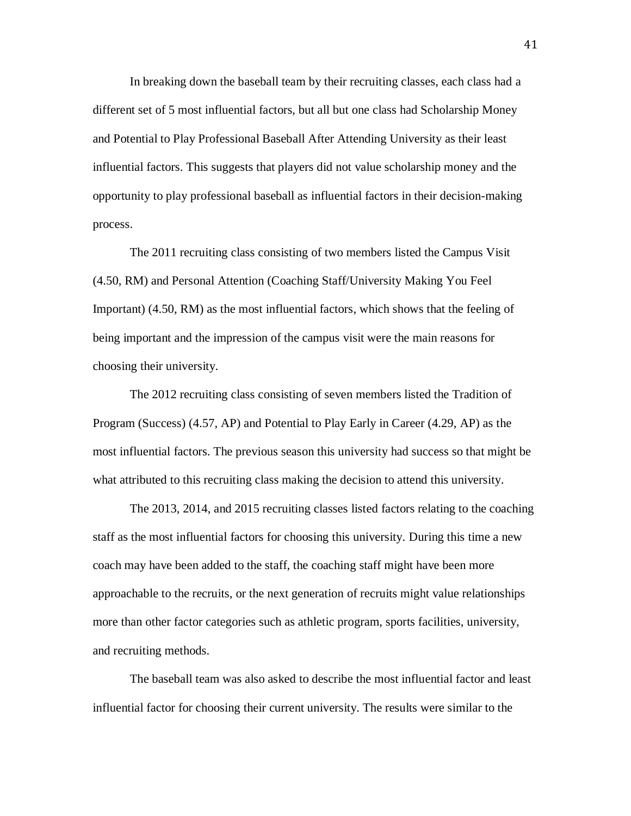In breaking down the baseball team by their recruiting classes, each class had a different set of 5 most influential factors, but all but one class had Scholarship Money and Potential to Play Professional Baseball After Attending University as their least influential factors. This suggests that players did not value scholarship money and the opportunity to play professional baseball as influential factors in their decision-making process.

The 2011 recruiting class consisting of two members listed the Campus Visit (4.50, RM) and Personal Attention (Coaching Staff/University Making You Feel Important) (4.50, RM) as the most influential factors, which shows that the feeling of being important and the impression of the campus visit were the main reasons for choosing their university.

The 2012 recruiting class consisting of seven members listed the Tradition of Program (Success) (4.57, AP) and Potential to Play Early in Career (4.29, AP) as the most influential factors. The previous season this university had success so that might be what attributed to this recruiting class making the decision to attend this university.

The 2013, 2014, and 2015 recruiting classes listed factors relating to the coaching staff as the most influential factors for choosing this university. During this time a new coach may have been added to the staff, the coaching staff might have been more approachable to the recruits, or the next generation of recruits might value relationships more than other factor categories such as athletic program, sports facilities, university, and recruiting methods.

The baseball team was also asked to describe the most influential factor and least influential factor for choosing their current university. The results were similar to the

41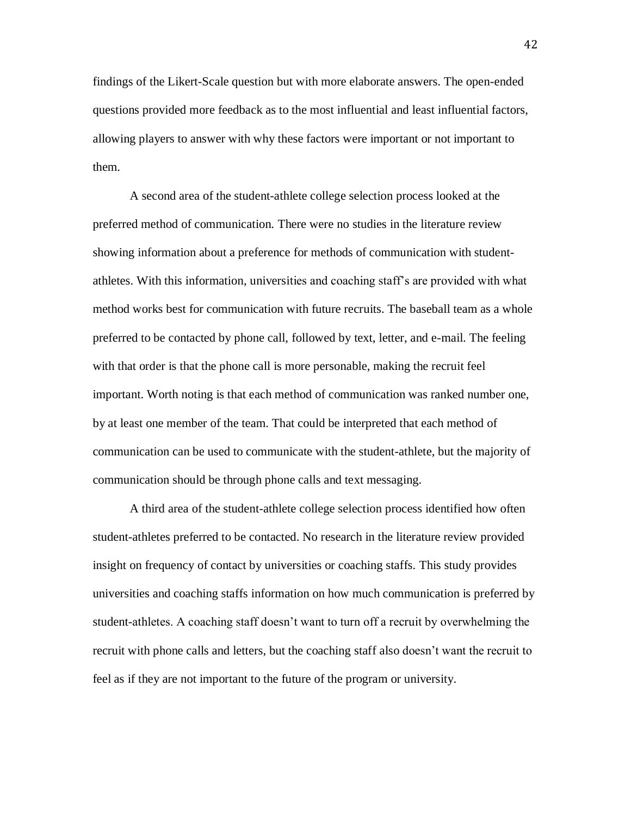findings of the Likert-Scale question but with more elaborate answers. The open-ended questions provided more feedback as to the most influential and least influential factors, allowing players to answer with why these factors were important or not important to them.

A second area of the student-athlete college selection process looked at the preferred method of communication. There were no studies in the literature review showing information about a preference for methods of communication with studentathletes. With this information, universities and coaching staff's are provided with what method works best for communication with future recruits. The baseball team as a whole preferred to be contacted by phone call, followed by text, letter, and e-mail. The feeling with that order is that the phone call is more personable, making the recruit feel important. Worth noting is that each method of communication was ranked number one, by at least one member of the team. That could be interpreted that each method of communication can be used to communicate with the student-athlete, but the majority of communication should be through phone calls and text messaging.

A third area of the student-athlete college selection process identified how often student-athletes preferred to be contacted. No research in the literature review provided insight on frequency of contact by universities or coaching staffs. This study provides universities and coaching staffs information on how much communication is preferred by student-athletes. A coaching staff doesn't want to turn off a recruit by overwhelming the recruit with phone calls and letters, but the coaching staff also doesn't want the recruit to feel as if they are not important to the future of the program or university.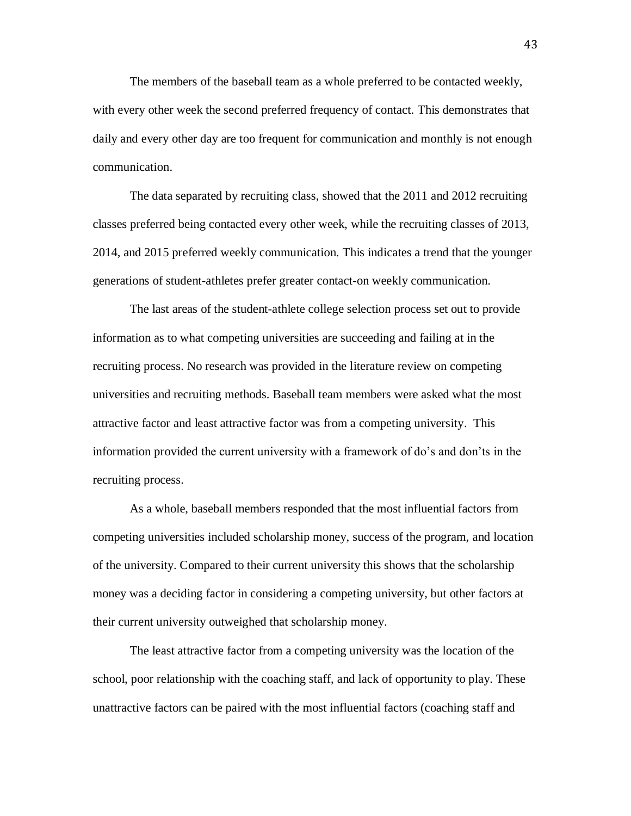The members of the baseball team as a whole preferred to be contacted weekly, with every other week the second preferred frequency of contact. This demonstrates that daily and every other day are too frequent for communication and monthly is not enough communication.

The data separated by recruiting class, showed that the 2011 and 2012 recruiting classes preferred being contacted every other week, while the recruiting classes of 2013, 2014, and 2015 preferred weekly communication. This indicates a trend that the younger generations of student-athletes prefer greater contact-on weekly communication.

The last areas of the student-athlete college selection process set out to provide information as to what competing universities are succeeding and failing at in the recruiting process. No research was provided in the literature review on competing universities and recruiting methods. Baseball team members were asked what the most attractive factor and least attractive factor was from a competing university. This information provided the current university with a framework of do's and don'ts in the recruiting process.

As a whole, baseball members responded that the most influential factors from competing universities included scholarship money, success of the program, and location of the university. Compared to their current university this shows that the scholarship money was a deciding factor in considering a competing university, but other factors at their current university outweighed that scholarship money.

The least attractive factor from a competing university was the location of the school, poor relationship with the coaching staff, and lack of opportunity to play. These unattractive factors can be paired with the most influential factors (coaching staff and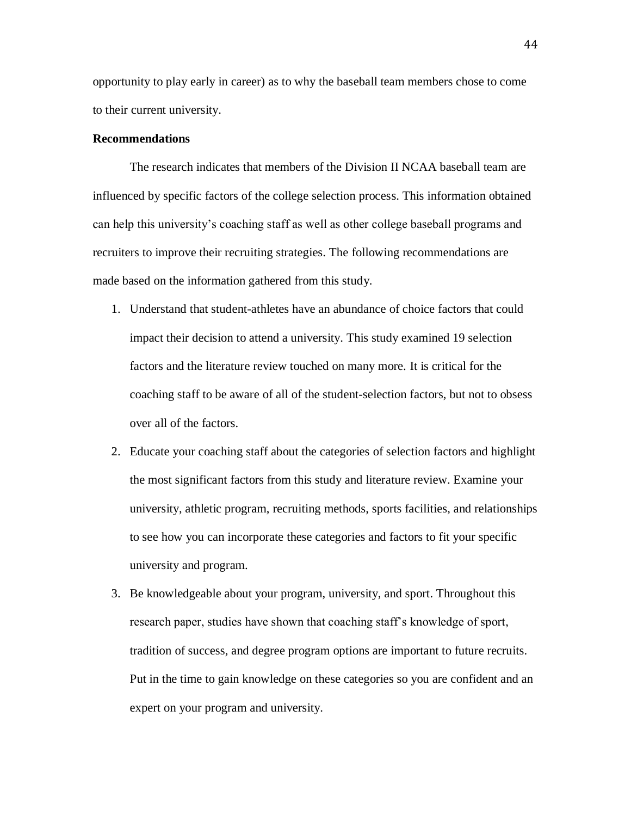opportunity to play early in career) as to why the baseball team members chose to come to their current university.

## **Recommendations**

The research indicates that members of the Division II NCAA baseball team are influenced by specific factors of the college selection process. This information obtained can help this university's coaching staff as well as other college baseball programs and recruiters to improve their recruiting strategies. The following recommendations are made based on the information gathered from this study.

- 1. Understand that student-athletes have an abundance of choice factors that could impact their decision to attend a university. This study examined 19 selection factors and the literature review touched on many more. It is critical for the coaching staff to be aware of all of the student-selection factors, but not to obsess over all of the factors.
- 2. Educate your coaching staff about the categories of selection factors and highlight the most significant factors from this study and literature review. Examine your university, athletic program, recruiting methods, sports facilities, and relationships to see how you can incorporate these categories and factors to fit your specific university and program.
- 3. Be knowledgeable about your program, university, and sport. Throughout this research paper, studies have shown that coaching staff's knowledge of sport, tradition of success, and degree program options are important to future recruits. Put in the time to gain knowledge on these categories so you are confident and an expert on your program and university.

44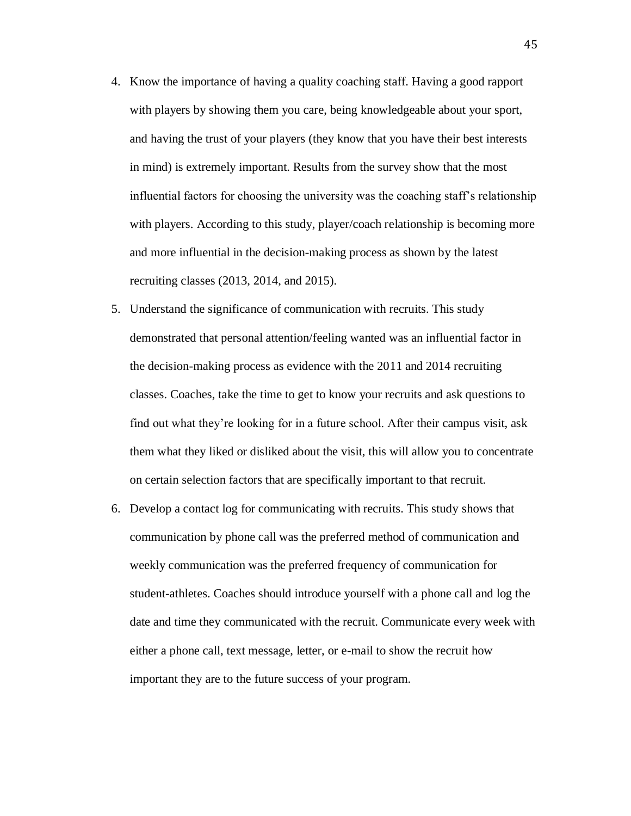- 4. Know the importance of having a quality coaching staff. Having a good rapport with players by showing them you care, being knowledgeable about your sport, and having the trust of your players (they know that you have their best interests in mind) is extremely important. Results from the survey show that the most influential factors for choosing the university was the coaching staff's relationship with players. According to this study, player/coach relationship is becoming more and more influential in the decision-making process as shown by the latest recruiting classes (2013, 2014, and 2015).
- 5. Understand the significance of communication with recruits. This study demonstrated that personal attention/feeling wanted was an influential factor in the decision-making process as evidence with the 2011 and 2014 recruiting classes. Coaches, take the time to get to know your recruits and ask questions to find out what they're looking for in a future school. After their campus visit, ask them what they liked or disliked about the visit, this will allow you to concentrate on certain selection factors that are specifically important to that recruit.
- 6. Develop a contact log for communicating with recruits. This study shows that communication by phone call was the preferred method of communication and weekly communication was the preferred frequency of communication for student-athletes. Coaches should introduce yourself with a phone call and log the date and time they communicated with the recruit. Communicate every week with either a phone call, text message, letter, or e-mail to show the recruit how important they are to the future success of your program.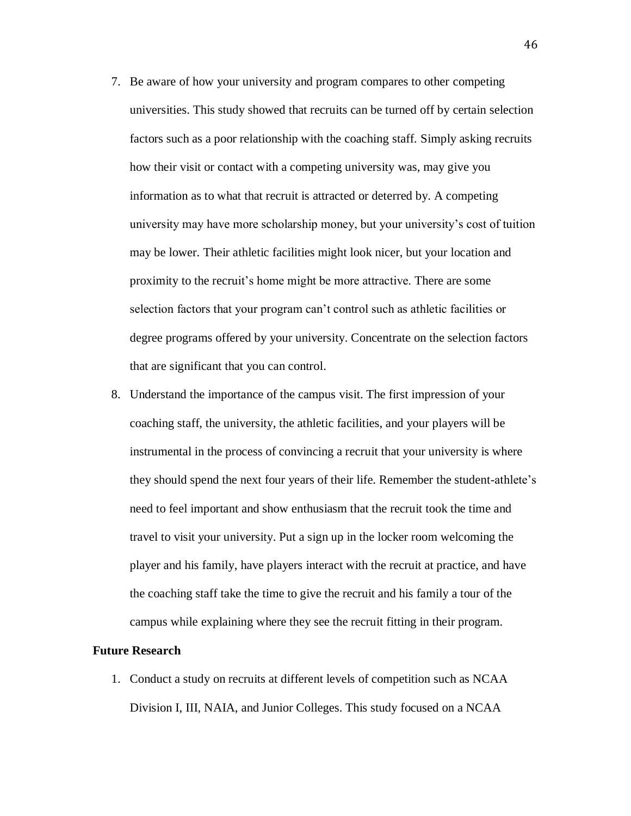- 7. Be aware of how your university and program compares to other competing universities. This study showed that recruits can be turned off by certain selection factors such as a poor relationship with the coaching staff. Simply asking recruits how their visit or contact with a competing university was, may give you information as to what that recruit is attracted or deterred by. A competing university may have more scholarship money, but your university's cost of tuition may be lower. Their athletic facilities might look nicer, but your location and proximity to the recruit's home might be more attractive. There are some selection factors that your program can't control such as athletic facilities or degree programs offered by your university. Concentrate on the selection factors that are significant that you can control.
- 8. Understand the importance of the campus visit. The first impression of your coaching staff, the university, the athletic facilities, and your players will be instrumental in the process of convincing a recruit that your university is where they should spend the next four years of their life. Remember the student-athlete's need to feel important and show enthusiasm that the recruit took the time and travel to visit your university. Put a sign up in the locker room welcoming the player and his family, have players interact with the recruit at practice, and have the coaching staff take the time to give the recruit and his family a tour of the campus while explaining where they see the recruit fitting in their program.

#### **Future Research**

1. Conduct a study on recruits at different levels of competition such as NCAA Division I, III, NAIA, and Junior Colleges. This study focused on a NCAA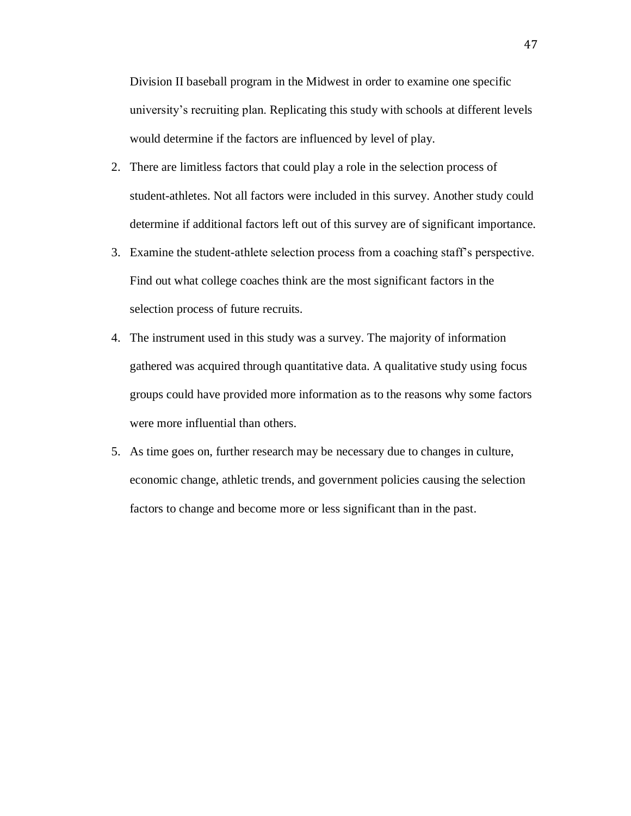Division II baseball program in the Midwest in order to examine one specific university's recruiting plan. Replicating this study with schools at different levels would determine if the factors are influenced by level of play.

- 2. There are limitless factors that could play a role in the selection process of student-athletes. Not all factors were included in this survey. Another study could determine if additional factors left out of this survey are of significant importance.
- 3. Examine the student-athlete selection process from a coaching staff's perspective. Find out what college coaches think are the most significant factors in the selection process of future recruits.
- 4. The instrument used in this study was a survey. The majority of information gathered was acquired through quantitative data. A qualitative study using focus groups could have provided more information as to the reasons why some factors were more influential than others.
- 5. As time goes on, further research may be necessary due to changes in culture, economic change, athletic trends, and government policies causing the selection factors to change and become more or less significant than in the past.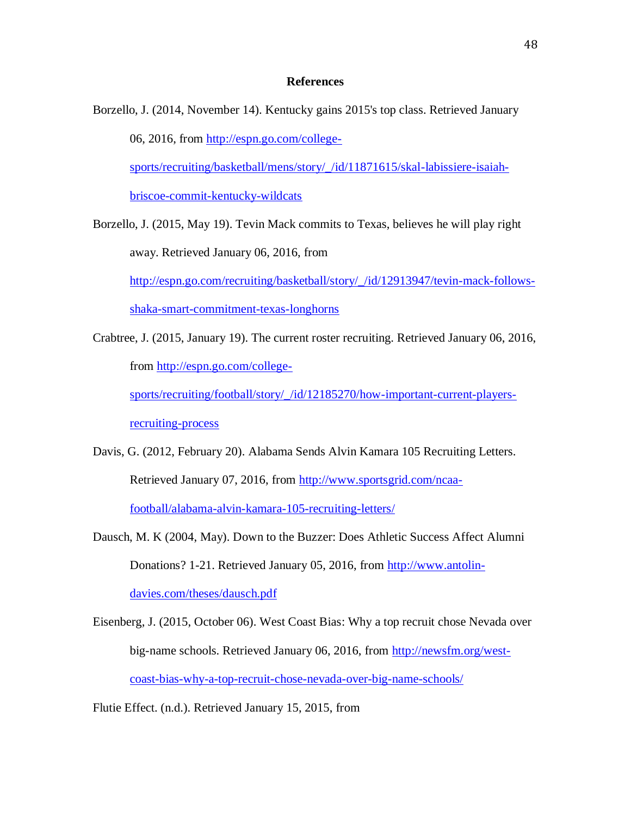## **References**

Borzello, J. (2014, November 14). Kentucky gains 2015's top class. Retrieved January 06, 2016, from [http://espn.go.com/college](http://espn.go.com/college-sports/recruiting/basketball/mens/story/_/id/11871615/skal-labissiere-isaiah-briscoe-commit-kentucky-wildcats)[sports/recruiting/basketball/mens/story/\\_/id/11871615/skal-labissiere-isaiah](http://espn.go.com/college-sports/recruiting/basketball/mens/story/_/id/11871615/skal-labissiere-isaiah-briscoe-commit-kentucky-wildcats)[briscoe-commit-kentucky-wildcats](http://espn.go.com/college-sports/recruiting/basketball/mens/story/_/id/11871615/skal-labissiere-isaiah-briscoe-commit-kentucky-wildcats)

Borzello, J. (2015, May 19). Tevin Mack commits to Texas, believes he will play right away. Retrieved January 06, 2016, from [http://espn.go.com/recruiting/basketball/story/\\_/id/12913947/tevin-mack-follows](http://espn.go.com/recruiting/basketball/story/_/id/12913947/tevin-mack-follows-shaka-smart-commitment-texas-longhorns)[shaka-smart-commitment-texas-longhorns](http://espn.go.com/recruiting/basketball/story/_/id/12913947/tevin-mack-follows-shaka-smart-commitment-texas-longhorns)

- Crabtree, J. (2015, January 19). The current roster recruiting. Retrieved January 06, 2016, from [http://espn.go.com/college](http://espn.go.com/college-sports/recruiting/football/story/_/id/12185270/how-important-current-players-recruiting-process)[sports/recruiting/football/story/\\_/id/12185270/how-important-current-players](http://espn.go.com/college-sports/recruiting/football/story/_/id/12185270/how-important-current-players-recruiting-process)[recruiting-process](http://espn.go.com/college-sports/recruiting/football/story/_/id/12185270/how-important-current-players-recruiting-process)
- Davis, G. (2012, February 20). Alabama Sends Alvin Kamara 105 Recruiting Letters. Retrieved January 07, 2016, from [http://www.sportsgrid.com/ncaa](http://www.sportsgrid.com/ncaa-football/alabama-alvin-kamara-105-recruiting-letters/)[football/alabama-alvin-kamara-105-recruiting-letters/](http://www.sportsgrid.com/ncaa-football/alabama-alvin-kamara-105-recruiting-letters/)

Dausch, M. K (2004, May). Down to the Buzzer: Does Athletic Success Affect Alumni Donations? 1-21. Retrieved January 05, 2016, from [http://www.antolin-](http://www.antolin-davies.com/theses/dausch.pdf)

[davies.com/theses/dausch.pdf](http://www.antolin-davies.com/theses/dausch.pdf)

Eisenberg, J. (2015, October 06). West Coast Bias: Why a top recruit chose Nevada over big-name schools. Retrieved January 06, 2016, from [http://newsfm.org/west](http://newsfm.org/west-coast-bias-why-a-top-recruit-chose-nevada-over-big-name-schools/)[coast-bias-why-a-top-recruit-chose-nevada-over-big-name-schools/](http://newsfm.org/west-coast-bias-why-a-top-recruit-chose-nevada-over-big-name-schools/)

Flutie Effect. (n.d.). Retrieved January 15, 2015, from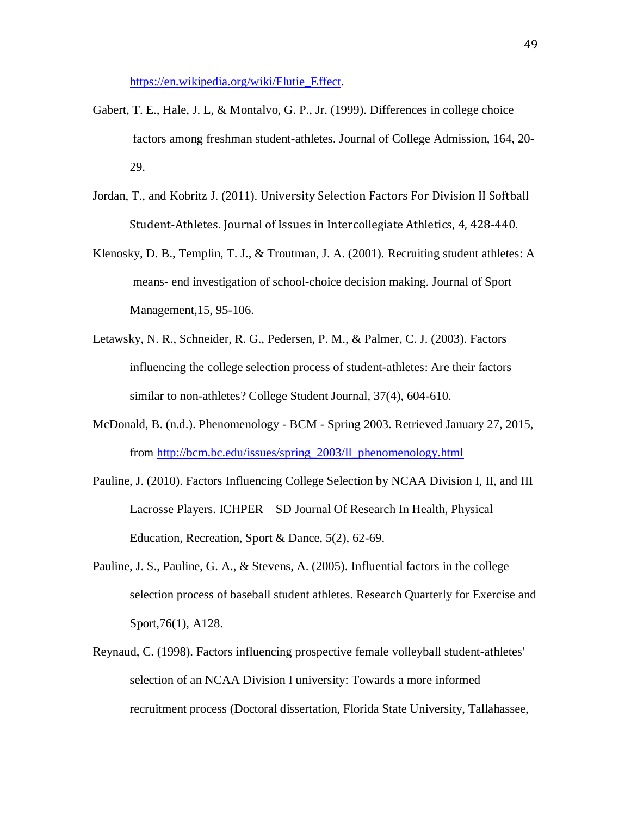[https://en.wikipedia.org/wiki/Flutie\\_Effect.](https://en.wikipedia.org/wiki/Flutie_Effect)

- Gabert, T. E., Hale, J. L, & Montalvo, G. P., Jr. (1999). Differences in college choice factors among freshman student-athletes. Journal of College Admission, 164, 20- 29.
- Jordan, T., and Kobritz J. (2011). University Selection Factors For Division II Softball Student-Athletes. Journal of Issues in Intercollegiate Athletics, 4, 428-440.
- Klenosky, D. B., Templin, T. J., & Troutman, J. A. (2001). Recruiting student athletes: A means- end investigation of school-choice decision making. Journal of Sport Management,15, 95-106.
- Letawsky, N. R., Schneider, R. G., Pedersen, P. M., & Palmer, C. J. (2003). Factors influencing the college selection process of student-athletes: Are their factors similar to non-athletes? College Student Journal, 37(4), 604-610.
- McDonald, B. (n.d.). Phenomenology BCM Spring 2003. Retrieved January 27, 2015, from [http://bcm.bc.edu/issues/spring\\_2003/ll\\_phenomenology.html](http://bcm.bc.edu/issues/spring_2003/ll_phenomenology.html)
- Pauline, J. (2010). Factors Influencing College Selection by NCAA Division I, II, and III Lacrosse Players. ICHPER – SD Journal Of Research In Health, Physical Education, Recreation, Sport & Dance, 5(2), 62-69.
- Pauline, J. S., Pauline, G. A., & Stevens, A. (2005). Influential factors in the college selection process of baseball student athletes. Research Quarterly for Exercise and Sport,76(1), A128.
- Reynaud, C. (1998). Factors influencing prospective female volleyball student-athletes' selection of an NCAA Division I university: Towards a more informed recruitment process (Doctoral dissertation, Florida State University, Tallahassee,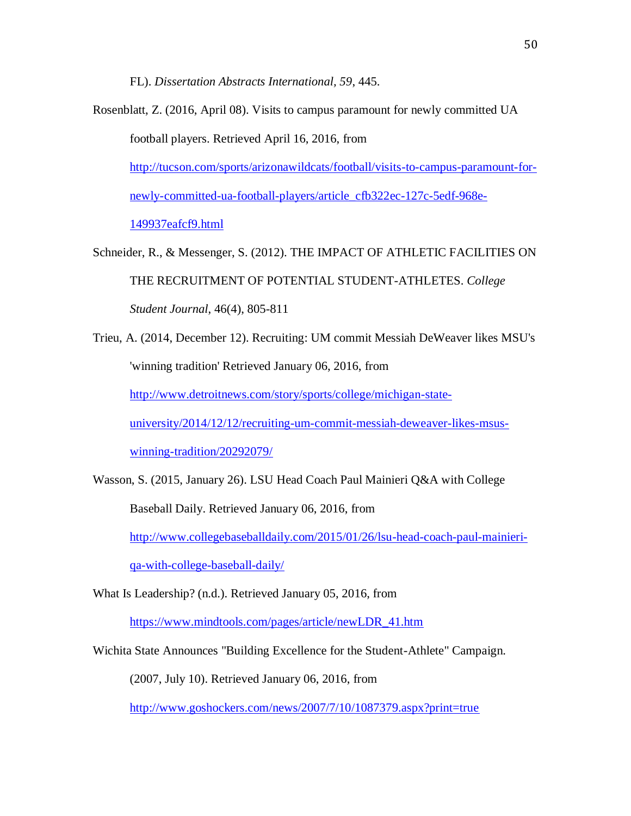FL). *Dissertation Abstracts International, 59*, 445.

Rosenblatt, Z. (2016, April 08). Visits to campus paramount for newly committed UA football players. Retrieved April 16, 2016, from [http://tucson.com/sports/arizonawildcats/football/visits-to-campus-paramount-for](http://tucson.com/sports/arizonawildcats/football/visits-to-campus-paramount-for-newly-committed-ua-football-players/article_cfb322ec-127c-5edf-968e-149937eafcf9.html)[newly-committed-ua-football-players/article\\_cfb322ec-127c-5edf-968e-](http://tucson.com/sports/arizonawildcats/football/visits-to-campus-paramount-for-newly-committed-ua-football-players/article_cfb322ec-127c-5edf-968e-149937eafcf9.html)[149937eafcf9.html](http://tucson.com/sports/arizonawildcats/football/visits-to-campus-paramount-for-newly-committed-ua-football-players/article_cfb322ec-127c-5edf-968e-149937eafcf9.html)

Schneider, R., & Messenger, S. (2012). THE IMPACT OF ATHLETIC FACILITIES ON THE RECRUITMENT OF POTENTIAL STUDENT-ATHLETES. *College Student Journal*, 46(4), 805-811

Trieu, A. (2014, December 12). Recruiting: UM commit Messiah DeWeaver likes MSU's 'winning tradition' Retrieved January 06, 2016, from [http://www.detroitnews.com/story/sports/college/michigan-state](http://www.detroitnews.com/story/sports/college/michigan-state-university/2014/12/12/recruiting-um-commit-messiah-deweaver-likes-msus-winning-tradition/20292079/)[university/2014/12/12/recruiting-um-commit-messiah-deweaver-likes-msus](http://www.detroitnews.com/story/sports/college/michigan-state-university/2014/12/12/recruiting-um-commit-messiah-deweaver-likes-msus-winning-tradition/20292079/)[winning-tradition/20292079/](http://www.detroitnews.com/story/sports/college/michigan-state-university/2014/12/12/recruiting-um-commit-messiah-deweaver-likes-msus-winning-tradition/20292079/)

Wasson, S. (2015, January 26). LSU Head Coach Paul Mainieri Q&A with College Baseball Daily. Retrieved January 06, 2016, from

[http://www.collegebaseballdaily.com/2015/01/26/lsu-head-coach-paul-mainieri-](http://www.collegebaseballdaily.com/2015/01/26/lsu-head-coach-paul-mainieri-qa-with-college-baseball-daily/)

[qa-with-college-baseball-daily/](http://www.collegebaseballdaily.com/2015/01/26/lsu-head-coach-paul-mainieri-qa-with-college-baseball-daily/)

What Is Leadership? (n.d.). Retrieved January 05, 2016, from

[https://www.mindtools.com/pages/article/newLDR\\_41.htm](https://www.mindtools.com/pages/article/newLDR_41.htm)

Wichita State Announces "Building Excellence for the Student-Athlete" Campaign.

(2007, July 10). Retrieved January 06, 2016, from

<http://www.goshockers.com/news/2007/7/10/1087379.aspx?print=true>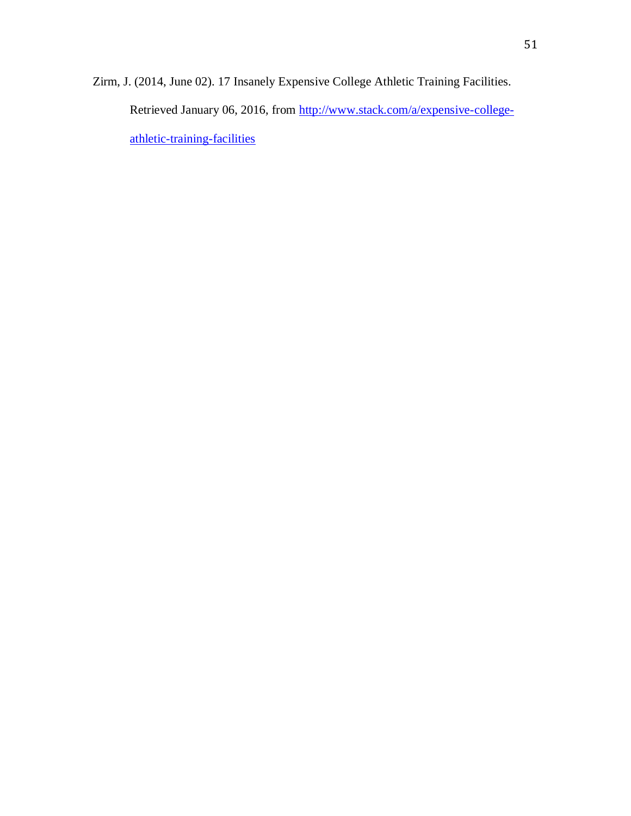Zirm, J. (2014, June 02). 17 Insanely Expensive College Athletic Training Facilities. Retrieved January 06, 2016, from [http://www.stack.com/a/expensive-college](http://www.stack.com/a/expensive-college-athletic-training-facilities)[athletic-training-facilities](http://www.stack.com/a/expensive-college-athletic-training-facilities)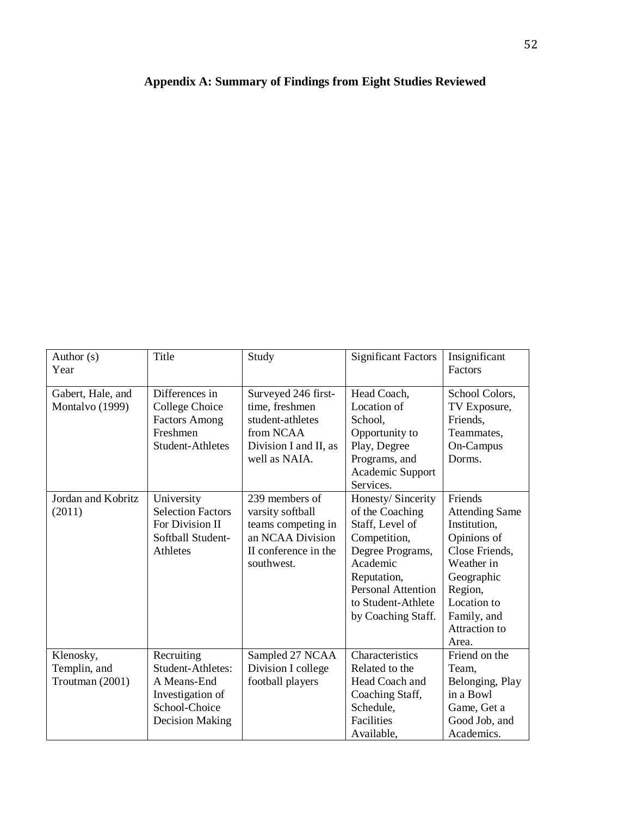# **Appendix A: Summary of Findings from Eight Studies Reviewed**

| Author (s)<br>Year                           | Title                                                                                                                | Study                                                                                                              | <b>Significant Factors</b>                                                                                                                                                                                    | Insignificant<br>Factors                                                                                                                                                         |
|----------------------------------------------|----------------------------------------------------------------------------------------------------------------------|--------------------------------------------------------------------------------------------------------------------|---------------------------------------------------------------------------------------------------------------------------------------------------------------------------------------------------------------|----------------------------------------------------------------------------------------------------------------------------------------------------------------------------------|
| Gabert, Hale, and<br>Montalvo (1999)         | Differences in<br>College Choice<br><b>Factors Among</b><br>Freshmen<br><b>Student-Athletes</b>                      | Surveyed 246 first-<br>time, freshmen<br>student-athletes<br>from NCAA<br>Division I and II, as<br>well as NAIA.   | Head Coach,<br>Location of<br>School,<br>Opportunity to<br>Play, Degree<br>Programs, and<br>Academic Support                                                                                                  | School Colors,<br>TV Exposure,<br>Friends,<br>Teammates,<br>On-Campus<br>Dorms.                                                                                                  |
| Jordan and Kobritz<br>(2011)                 | University<br><b>Selection Factors</b><br>For Division II<br>Softball Student-<br>Athletes                           | 239 members of<br>varsity softball<br>teams competing in<br>an NCAA Division<br>II conference in the<br>southwest. | Services.<br>Honesty/ Sincerity<br>of the Coaching<br>Staff, Level of<br>Competition,<br>Degree Programs,<br>Academic<br>Reputation,<br><b>Personal Attention</b><br>to Student-Athlete<br>by Coaching Staff. | Friends<br><b>Attending Same</b><br>Institution,<br>Opinions of<br>Close Friends,<br>Weather in<br>Geographic<br>Region,<br>Location to<br>Family, and<br>Attraction to<br>Area. |
| Klenosky,<br>Templin, and<br>Troutman (2001) | Recruiting<br><b>Student-Athletes:</b><br>A Means-End<br>Investigation of<br>School-Choice<br><b>Decision Making</b> | Sampled 27 NCAA<br>Division I college<br>football players                                                          | Characteristics<br>Related to the<br>Head Coach and<br>Coaching Staff,<br>Schedule,<br>Facilities<br>Available,                                                                                               | Friend on the<br>Team,<br>Belonging, Play<br>in a Bowl<br>Game, Get a<br>Good Job, and<br>Academics.                                                                             |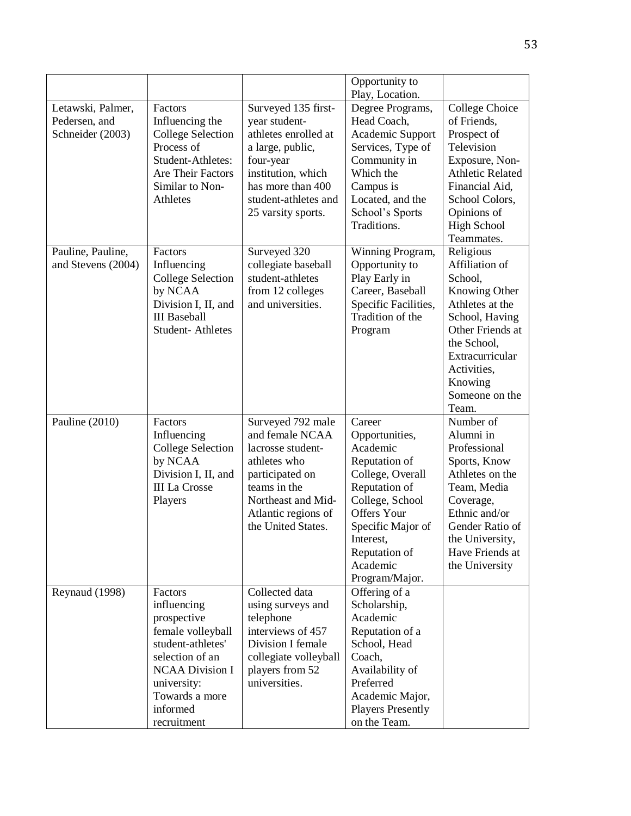|                                                        |                                                                                                                                                                                          |                                                                                                                                                                                        | Opportunity to<br>Play, Location.                                                                                                                                                                                    |                                                                                                                                                                                                         |
|--------------------------------------------------------|------------------------------------------------------------------------------------------------------------------------------------------------------------------------------------------|----------------------------------------------------------------------------------------------------------------------------------------------------------------------------------------|----------------------------------------------------------------------------------------------------------------------------------------------------------------------------------------------------------------------|---------------------------------------------------------------------------------------------------------------------------------------------------------------------------------------------------------|
| Letawski, Palmer,<br>Pedersen, and<br>Schneider (2003) | Factors<br>Influencing the<br><b>College Selection</b><br>Process of<br>Student-Athletes:<br>Are Their Factors<br>Similar to Non-<br>Athletes                                            | Surveyed 135 first-<br>year student-<br>athletes enrolled at<br>a large, public,<br>four-year<br>institution, which<br>has more than 400<br>student-athletes and<br>25 varsity sports. | Degree Programs,<br>Head Coach,<br>Academic Support<br>Services, Type of<br>Community in<br>Which the<br>Campus is<br>Located, and the<br>School's Sports<br>Traditions.                                             | <b>College Choice</b><br>of Friends,<br>Prospect of<br>Television<br>Exposure, Non-<br><b>Athletic Related</b><br>Financial Aid,<br>School Colors,<br>Opinions of<br><b>High School</b><br>Teammates.   |
| Pauline, Pauline,<br>and Stevens (2004)                | Factors<br>Influencing<br><b>College Selection</b><br>by NCAA<br>Division I, II, and<br><b>III</b> Baseball<br>Student-Athletes                                                          | Surveyed 320<br>collegiate baseball<br>student-athletes<br>from 12 colleges<br>and universities.                                                                                       | Winning Program,<br>Opportunity to<br>Play Early in<br>Career, Baseball<br>Specific Facilities,<br>Tradition of the<br>Program                                                                                       | Religious<br>Affiliation of<br>School,<br>Knowing Other<br>Athletes at the<br>School, Having<br>Other Friends at<br>the School,<br>Extracurricular<br>Activities,<br>Knowing<br>Someone on the<br>Team. |
| Pauline (2010)                                         | Factors<br>Influencing<br><b>College Selection</b><br>by NCAA<br>Division I, II, and<br><b>III La Crosse</b><br>Players                                                                  | Surveyed 792 male<br>and female NCAA<br>lacrosse student-<br>athletes who<br>participated on<br>teams in the<br>Northeast and Mid-<br>Atlantic regions of<br>the United States.        | Career<br>Opportunities,<br>Academic<br>Reputation of<br>College, Overall<br>Reputation of<br>College, School<br><b>Offers Your</b><br>Specific Major of<br>Interest,<br>Reputation of<br>Academic<br>Program/Major. | Number of<br>Alumni in<br>Professional<br>Sports, Know<br>Athletes on the<br>Team, Media<br>Coverage,<br>Ethnic and/or<br>Gender Ratio of<br>the University,<br>Have Friends at<br>the University       |
| Reynaud (1998)                                         | Factors<br>influencing<br>prospective<br>female volleyball<br>student-athletes'<br>selection of an<br><b>NCAA Division I</b><br>university:<br>Towards a more<br>informed<br>recruitment | Collected data<br>using surveys and<br>telephone<br>interviews of 457<br>Division I female<br>collegiate volleyball<br>players from 52<br>universities.                                | Offering of a<br>Scholarship,<br>Academic<br>Reputation of a<br>School, Head<br>Coach,<br>Availability of<br>Preferred<br>Academic Major,<br><b>Players Presently</b><br>on the Team.                                |                                                                                                                                                                                                         |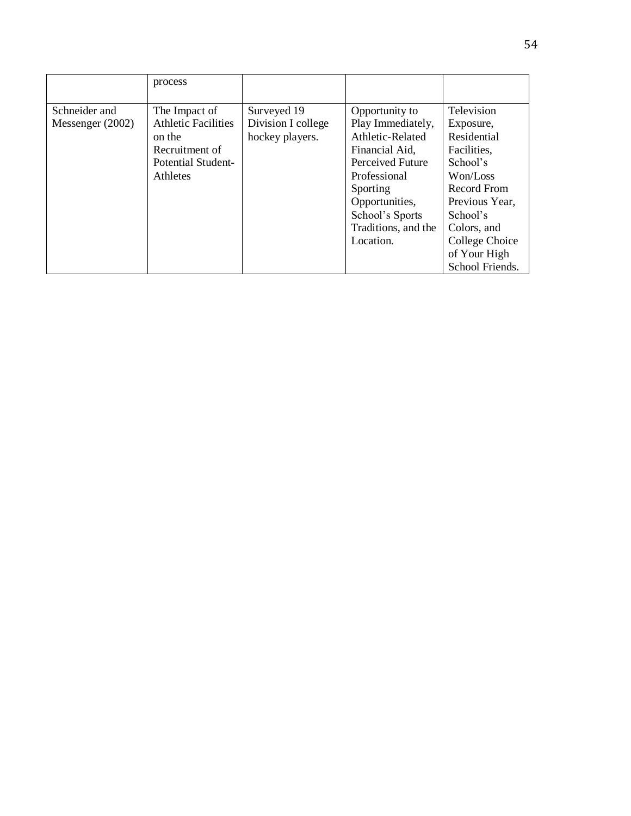|                                     | process                                                                                                                 |                                                      |                                                                                                                                                                                                    |                                                                                                                                                                                                |
|-------------------------------------|-------------------------------------------------------------------------------------------------------------------------|------------------------------------------------------|----------------------------------------------------------------------------------------------------------------------------------------------------------------------------------------------------|------------------------------------------------------------------------------------------------------------------------------------------------------------------------------------------------|
| Schneider and<br>Messenger $(2002)$ | The Impact of<br><b>Athletic Facilities</b><br>on the<br>Recruitment of<br><b>Potential Student-</b><br><b>Athletes</b> | Surveyed 19<br>Division I college<br>hockey players. | Opportunity to<br>Play Immediately,<br>Athletic-Related<br>Financial Aid,<br>Perceived Future<br>Professional<br>Sporting<br>Opportunities,<br>School's Sports<br>Traditions, and the<br>Location. | Television<br>Exposure,<br>Residential<br>Facilities,<br>School's<br>Won/Loss<br>Record From<br>Previous Year,<br>School's<br>Colors, and<br>College Choice<br>of Your High<br>School Friends. |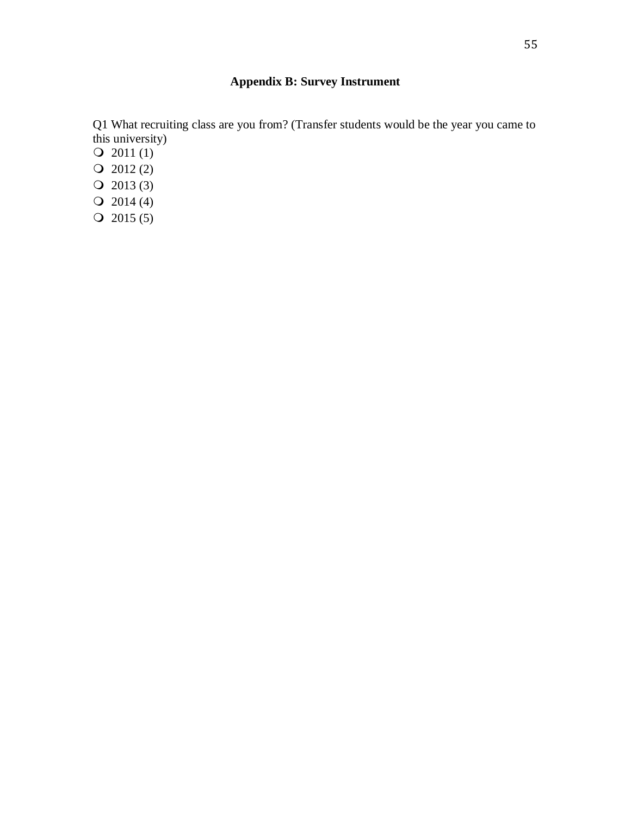# **Appendix B: Survey Instrument**

Q1 What recruiting class are you from? (Transfer students would be the year you came to this university)

- $Q$  2011 (1)
- $Q$  2012 (2)
- $Q$  2013 (3)
- $Q$  2014 (4)
- $Q$  2015 (5)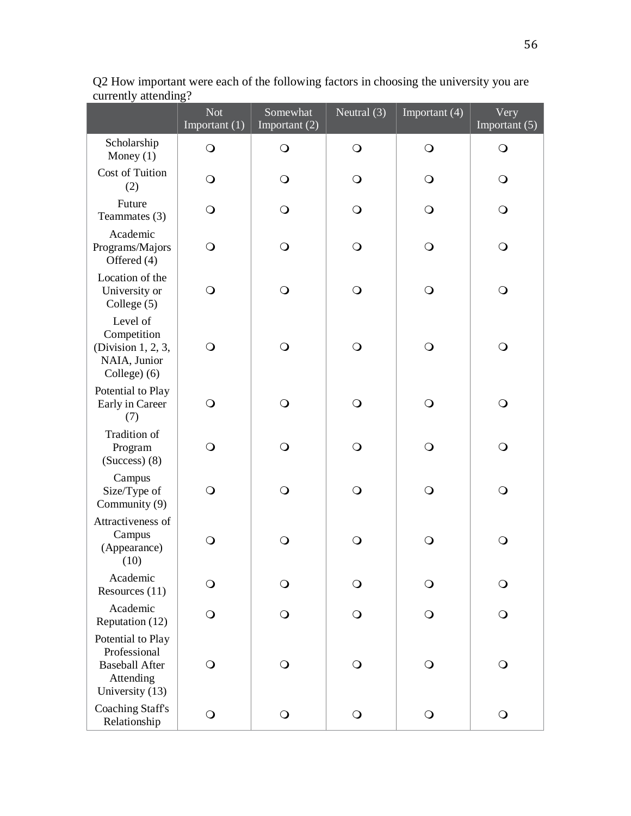|                                                                                            | <b>Not</b><br>Important (1) | Somewhat<br>Important (2) | Neutral (3)  | Important (4) | Very<br>Important (5) |
|--------------------------------------------------------------------------------------------|-----------------------------|---------------------------|--------------|---------------|-----------------------|
| Scholarship<br>Money $(1)$                                                                 | $\bigcirc$                  | $\bigcirc$                | $\bigcirc$   | $\bigcirc$    | $\Omega$              |
| Cost of Tuition<br>(2)                                                                     | $\mathsf{O}$                | O                         | $\mathsf{O}$ | $\Omega$      | Q                     |
| Future<br>Teammates (3)                                                                    | $\circ$                     | $\circ$                   | $\mathsf{O}$ | $\circ$       | $\Omega$              |
| Academic<br>Programs/Majors<br>Offered (4)                                                 | $\bigcirc$                  | $\circ$                   | $\mathsf{O}$ | $\circ$       | $\Omega$              |
| Location of the<br>University or<br>College (5)                                            | $\bigcirc$                  | $\bigcirc$                | $\bigcirc$   | $\bigcirc$    | $\bigcirc$            |
| Level of<br>Competition<br>(Division 1, 2, 3,<br>NAIA, Junior<br>College) (6)              | $\bigcirc$                  | $\bigcirc$                | $\bigcirc$   | $\circ$       | $\mathsf{O}$          |
| Potential to Play<br>Early in Career<br>(7)                                                | $\mathsf{O}$                | $\bigcirc$                | $\bigcirc$   | $\bigcirc$    | $\bigcirc$            |
| Tradition of<br>Program<br>$(Success)$ (8)                                                 | $\bigcirc$                  | $\bigcirc$                | $\bigcirc$   | $\bigcirc$    | $\bigcirc$            |
| Campus<br>Size/Type of<br>Community (9)                                                    | $\bigcirc$                  | $\circ$                   | $\bigcirc$   | $\bigcirc$    | $\mathsf{O}$          |
| Attractiveness of<br>Campus<br>(Appearance)<br>(10)                                        | $\bigcirc$                  | $\mathsf{O}$              | $\mathsf{O}$ | $\mathsf{O}$  | $\bigcirc$            |
| Academic<br>Resources $(11)$                                                               | $\bigcirc$                  | $\circ$                   | $\bigcirc$   | $\bigcirc$    | $\bigcirc$            |
| Academic<br>Reputation (12)                                                                | $\mathsf{O}$                | $\circ$                   | $\mathsf{O}$ | $\Omega$      | $\Omega$              |
| Potential to Play<br>Professional<br><b>Baseball After</b><br>Attending<br>University (13) | $\bigcirc$                  | $\bigcirc$                | $\bigcirc$   | $\Omega$      | $\Omega$              |
| <b>Coaching Staff's</b><br>Relationship                                                    | $\bigcirc$                  | $\bigcirc$                | $\bigcirc$   | $\bigcirc$    | $\bigcirc$            |

Q2 How important were each of the following factors in choosing the university you are currently attending?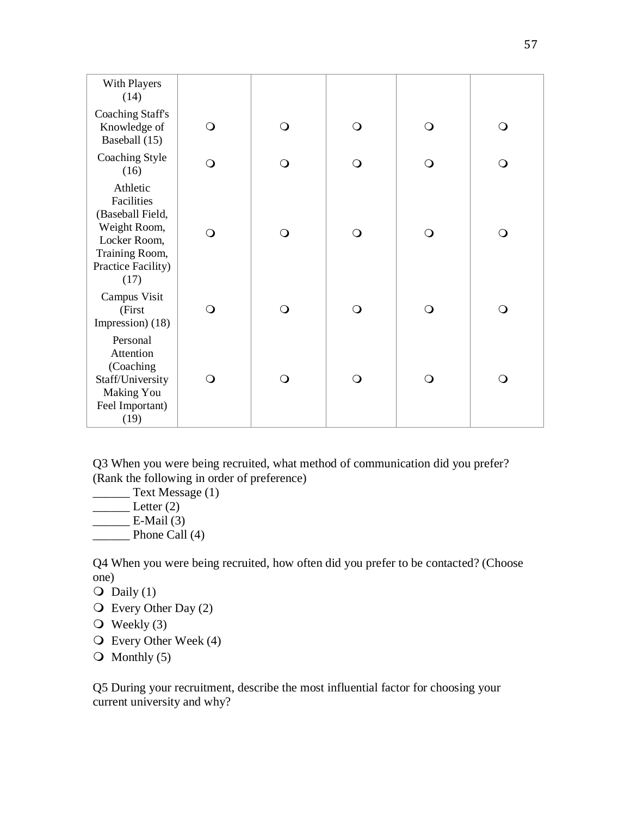| With Players<br>(14)                                                                                                       |              |              |            |              |            |  |
|----------------------------------------------------------------------------------------------------------------------------|--------------|--------------|------------|--------------|------------|--|
| <b>Coaching Staff's</b><br>Knowledge of<br>Baseball (15)                                                                   | $\bigcirc$   | $\bigcirc$   | $\bigcirc$ | $\bigcirc$   | $\bigcirc$ |  |
| Coaching Style<br>(16)                                                                                                     | $\bigcirc$   | $\bigcirc$   | $\bigcirc$ | $\mathsf{O}$ | $\bigcirc$ |  |
| Athletic<br>Facilities<br>(Baseball Field,<br>Weight Room,<br>Locker Room,<br>Training Room,<br>Practice Facility)<br>(17) | $\bigcirc$   | $\bigcirc$   | $\bigcirc$ | $\bigcirc$   | $\bigcirc$ |  |
| Campus Visit<br>(First<br>Impression) (18)                                                                                 | $\bigcirc$   | $\bigcirc$   | $\bigcirc$ | $\bigcirc$   | $\bigcirc$ |  |
| Personal<br>Attention<br>(Coaching<br>Staff/University<br><b>Making You</b><br>Feel Important)<br>(19)                     | $\mathsf{O}$ | $\mathsf{O}$ | $\circ$    | $\mathsf{O}$ | $\circ$    |  |

Q3 When you were being recruited, what method of communication did you prefer? (Rank the following in order of preference)

**Text Message (1)** 

- $\rule{1em}{0.15mm} \nLetter (2)$
- $\overline{\phantom{a}}$  E-Mail (3)
- **Phone Call (4)**

Q4 When you were being recruited, how often did you prefer to be contacted? (Choose one)

 $\overline{O}$  Daily (1)

- Every Other Day (2)
- $\overline{O}$  Weekly (3)
- Every Other Week (4)
- $\overline{O}$  Monthly (5)

Q5 During your recruitment, describe the most influential factor for choosing your current university and why?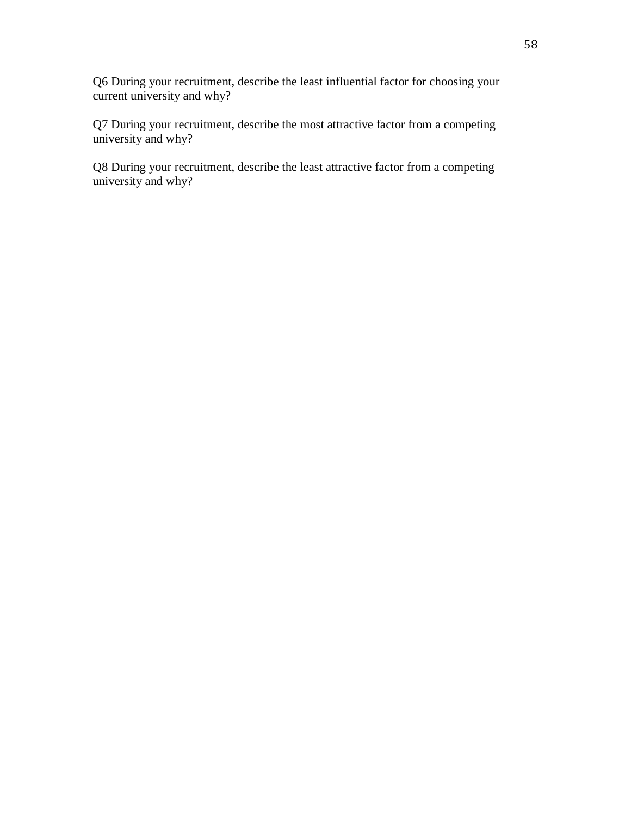Q6 During your recruitment, describe the least influential factor for choosing your current university and why?

Q7 During your recruitment, describe the most attractive factor from a competing university and why?

Q8 During your recruitment, describe the least attractive factor from a competing university and why?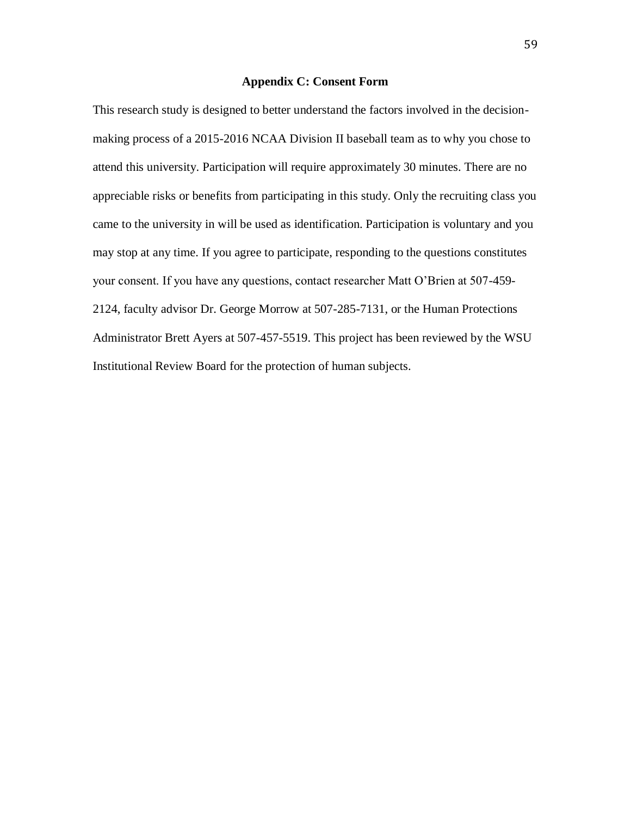## **Appendix C: Consent Form**

This research study is designed to better understand the factors involved in the decisionmaking process of a 2015-2016 NCAA Division II baseball team as to why you chose to attend this university. Participation will require approximately 30 minutes. There are no appreciable risks or benefits from participating in this study. Only the recruiting class you came to the university in will be used as identification. Participation is voluntary and you may stop at any time. If you agree to participate, responding to the questions constitutes your consent. If you have any questions, contact researcher Matt O'Brien at 507-459- 2124, faculty advisor Dr. George Morrow at 507-285-7131, or the Human Protections Administrator Brett Ayers at 507-457-5519. This project has been reviewed by the WSU Institutional Review Board for the protection of human subjects.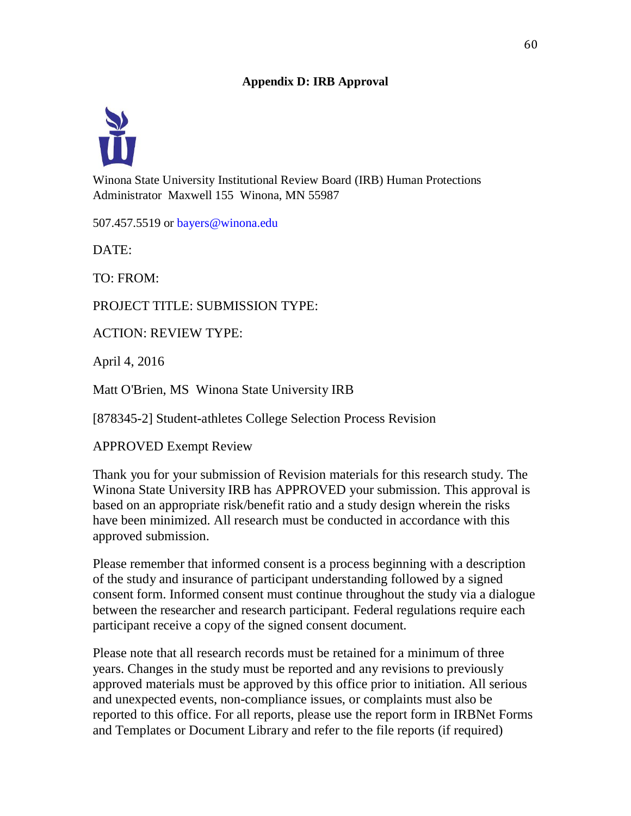## **Appendix D: IRB Approval**



Winona State University Institutional Review Board (IRB) Human Protections Administrator Maxwell 155 Winona, MN 55987

507.457.5519 or bayers@winona.edu

DATE:

TO: FROM:

PROJECT TITLE: SUBMISSION TYPE:

ACTION: REVIEW TYPE:

April 4, 2016

Matt O'Brien, MS Winona State University IRB

[878345-2] Student-athletes College Selection Process Revision

APPROVED Exempt Review

Thank you for your submission of Revision materials for this research study. The Winona State University IRB has APPROVED your submission. This approval is based on an appropriate risk/benefit ratio and a study design wherein the risks have been minimized. All research must be conducted in accordance with this approved submission.

Please remember that informed consent is a process beginning with a description of the study and insurance of participant understanding followed by a signed consent form. Informed consent must continue throughout the study via a dialogue between the researcher and research participant. Federal regulations require each participant receive a copy of the signed consent document.

Please note that all research records must be retained for a minimum of three years. Changes in the study must be reported and any revisions to previously approved materials must be approved by this office prior to initiation. All serious and unexpected events, non-compliance issues, or complaints must also be reported to this office. For all reports, please use the report form in IRBNet Forms and Templates or Document Library and refer to the file reports (if required)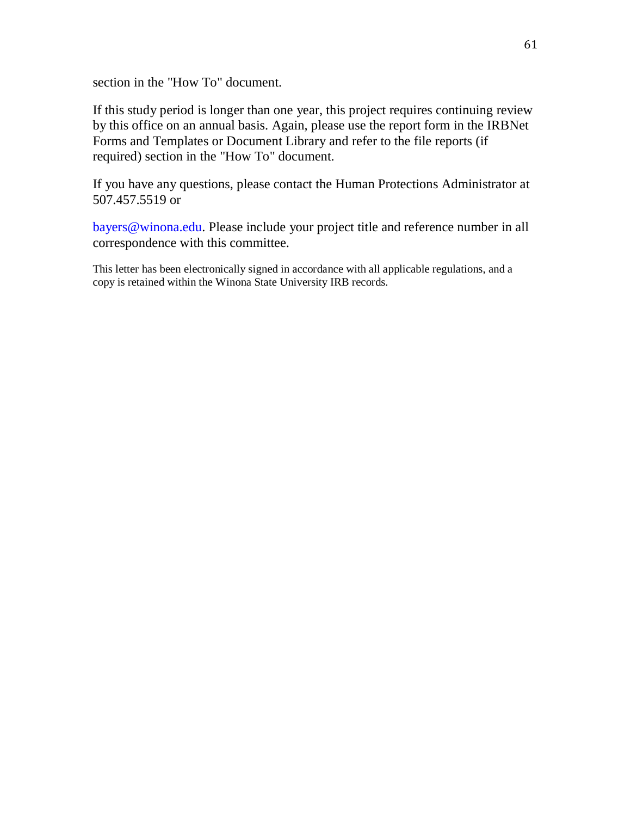section in the "How To" document.

If this study period is longer than one year, this project requires continuing review by this office on an annual basis. Again, please use the report form in the IRBNet Forms and Templates or Document Library and refer to the file reports (if required) section in the "How To" document.

If you have any questions, please contact the Human Protections Administrator at 507.457.5519 or

bayers@winona.edu. Please include your project title and reference number in all correspondence with this committee.

This letter has been electronically signed in accordance with all applicable regulations, and a copy is retained within the Winona State University IRB records.